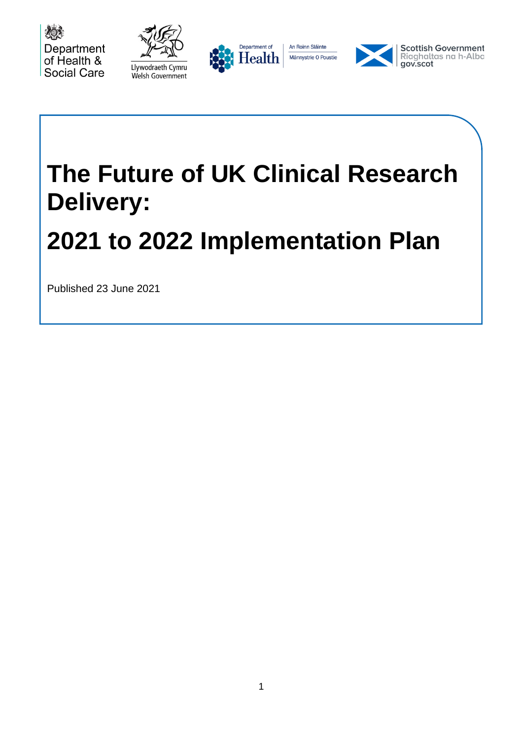







# **The Future of UK Clinical Research Delivery:**

## **2021 to 2022 Implementation Plan**

Published 23 June 2021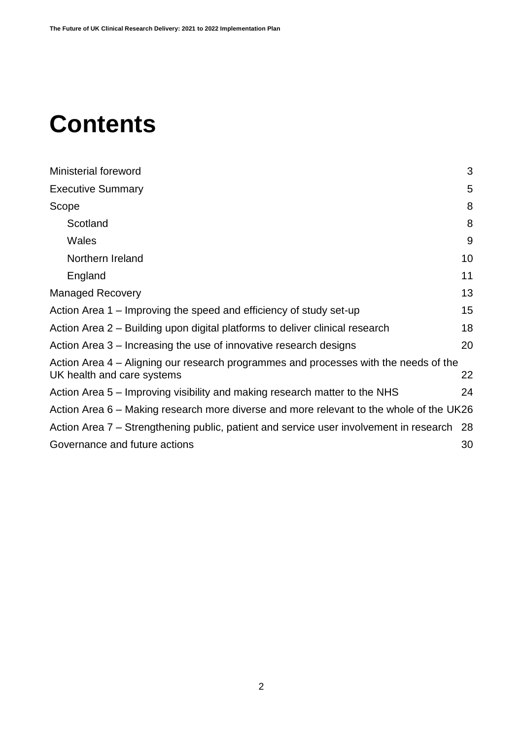## **Contents**

| Ministerial foreword                                                                                               | 3  |
|--------------------------------------------------------------------------------------------------------------------|----|
| <b>Executive Summary</b>                                                                                           | 5  |
| Scope                                                                                                              | 8  |
| Scotland                                                                                                           | 8  |
| Wales                                                                                                              | 9  |
| Northern Ireland                                                                                                   | 10 |
| England                                                                                                            | 11 |
| <b>Managed Recovery</b>                                                                                            | 13 |
| Action Area 1 – Improving the speed and efficiency of study set-up                                                 | 15 |
| Action Area 2 – Building upon digital platforms to deliver clinical research                                       | 18 |
| Action Area 3 – Increasing the use of innovative research designs                                                  | 20 |
| Action Area 4 – Aligning our research programmes and processes with the needs of the<br>UK health and care systems | 22 |
| Action Area 5 – Improving visibility and making research matter to the NHS                                         | 24 |
| Action Area 6 – Making research more diverse and more relevant to the whole of the UK26                            |    |
| Action Area 7 – Strengthening public, patient and service user involvement in research                             | 28 |
| Governance and future actions                                                                                      | 30 |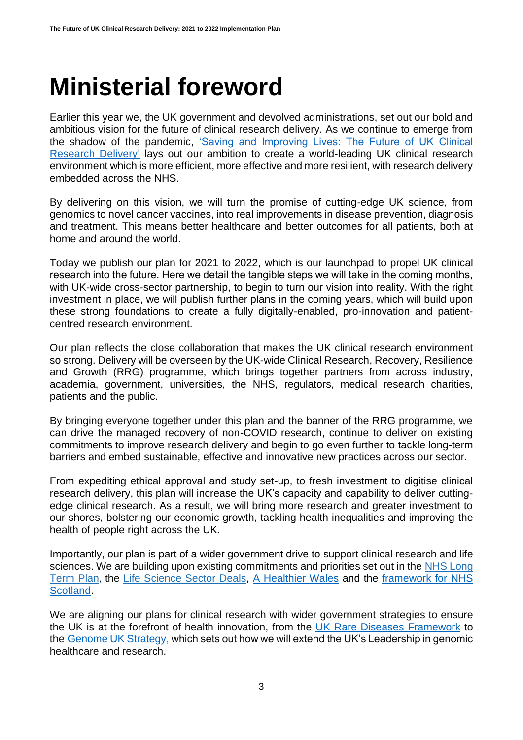#### <span id="page-2-0"></span>**Ministerial foreword**

Earlier this year we, the UK government and devolved administrations, set out our bold and ambitious vision for the future of clinical research delivery. As we continue to emerge from the shadow of the pandemic, ['Saving and Improving Lives: The Future of UK Clinical](https://www.gov.uk/government/publications/the-future-of-uk-clinical-research-delivery/saving-and-improving-lives-the-future-of-uk-clinical-research-delivery)  [Research Delivery'](https://www.gov.uk/government/publications/the-future-of-uk-clinical-research-delivery/saving-and-improving-lives-the-future-of-uk-clinical-research-delivery) lays out our ambition to create a world-leading UK clinical research environment which is more efficient, more effective and more resilient, with research delivery embedded across the NHS.

By delivering on this vision, we will turn the promise of cutting-edge UK science, from genomics to novel cancer vaccines, into real improvements in disease prevention, diagnosis and treatment. This means better healthcare and better outcomes for all patients, both at home and around the world.

Today we publish our plan for 2021 to 2022, which is our launchpad to propel UK clinical research into the future. Here we detail the tangible steps we will take in the coming months, with UK-wide cross-sector partnership, to begin to turn our vision into reality. With the right investment in place, we will publish further plans in the coming years, which will build upon these strong foundations to create a fully digitally-enabled, pro-innovation and patientcentred research environment.

Our plan reflects the close collaboration that makes the UK clinical research environment so strong. Delivery will be overseen by the UK-wide Clinical Research, Recovery, Resilience and Growth (RRG) programme, which brings together partners from across industry, academia, government, universities, the NHS, regulators, medical research charities, patients and the public.

By bringing everyone together under this plan and the banner of the RRG programme, we can drive the managed recovery of non-COVID research, continue to deliver on existing commitments to improve research delivery and begin to go even further to tackle long-term barriers and embed sustainable, effective and innovative new practices across our sector.

From expediting ethical approval and study set-up, to fresh investment to digitise clinical research delivery, this plan will increase the UK's capacity and capability to deliver cuttingedge clinical research. As a result, we will bring more research and greater investment to our shores, bolstering our economic growth, tackling health inequalities and improving the health of people right across the UK.

Importantly, our plan is part of a wider government drive to support clinical research and life sciences. We are building upon existing commitments and priorities set out in the NHS Long [Term Plan,](https://www.longtermplan.nhs.uk/publication/nhs-long-term-plan/) the [Life Science Sector Deals,](https://www.gov.uk/government/publications/life-sciences-sector-deal) [A Healthier Wales](https://gov.wales/healthier-wales-long-term-plan-health-and-social-care) and the [framework for NHS](https://www.gov.scot/publications/re-mobilise-recover-re-design-framework-nhs-scotland/)  [Scotland.](https://www.gov.scot/publications/re-mobilise-recover-re-design-framework-nhs-scotland/)

We are aligning our plans for clinical research with wider government strategies to ensure the UK is at the forefront of health innovation, from the [UK Rare Diseases Framework](https://www.gov.uk/government/publications/uk-rare-diseases-framework/the-uk-rare-diseases-framework) to the [Genome UK Strategy,](https://www.gov.uk/government/publications/genome-uk-the-future-of-healthcare) which sets out how we will extend the UK's Leadership in genomic healthcare and research.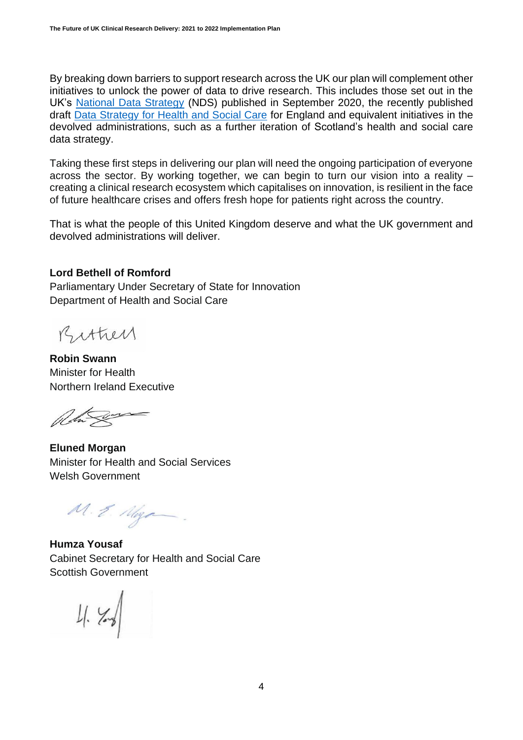By breaking down barriers to support research across the UK our plan will complement other initiatives to unlock the power of data to drive research. This includes those set out in the UK's [National Data Strategy](https://www.gov.uk/government/publications/uk-national-data-strategy) (NDS) published in September 2020, the recently published draft [Data Strategy for Health and Social Care](https://www.gov.uk/government/publications/data-saves-lives-reshaping-health-and-social-care-with-data-draft) for England and equivalent initiatives in the devolved administrations, such as a further iteration of Scotland's health and social care data strategy.

Taking these first steps in delivering our plan will need the ongoing participation of everyone across the sector. By working together, we can begin to turn our vision into a reality – creating a clinical research ecosystem which capitalises on innovation, is resilient in the face of future healthcare crises and offers fresh hope for patients right across the country.

That is what the people of this United Kingdom deserve and what the UK government and devolved administrations will deliver.

#### **Lord Bethell of Romford**

Parliamentary Under Secretary of State for Innovation Department of Health and Social Care

Bithey

**Robin Swann**  Minister for Health Northern Ireland Executive

**Eluned Morgan**  Minister for Health and Social Services Welsh Government

M.E. Maga

**Humza Yousaf** Cabinet Secretary for Health and Social Care Scottish Government

 $4. \times 1$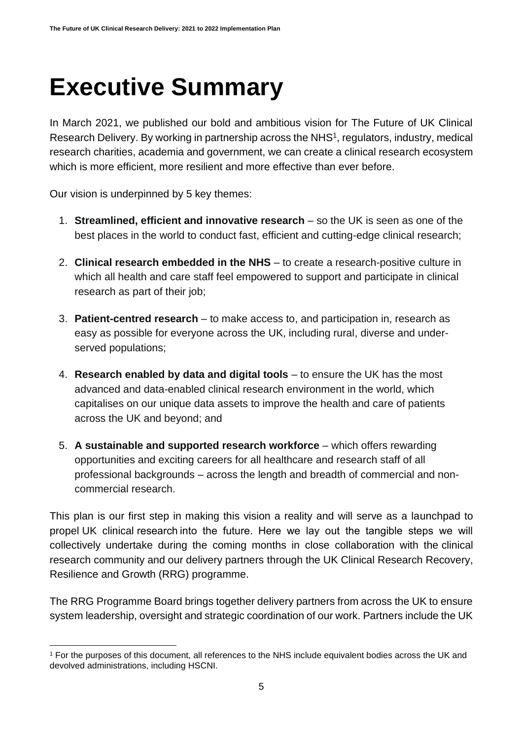### **Executive Summary**

In March 2021, we published our bold and ambitious vision for The Future of UK Clinical Research Delivery. By working in partnership across the NHS<sup>1</sup>, regulators, industry, medical research charities, academia and government, we can create a clinical research ecosystem which is more efficient, more resilient and more effective than ever before.

Our vision is underpinned by 5 key themes:

- 1. **Streamlined, efficient and innovative research** so the UK is seen as one of the best places in the world to conduct fast, efficient and cutting-edge clinical research;
- 2. **Clinical research embedded in the NHS**  to create a research-positive culture in which all health and care staff feel empowered to support and participate in clinical research as part of their job;
- 3. **Patient-centred research** to make access to, and participation in, research as easy as possible for everyone across the UK, including rural, diverse and underserved populations;
- 4. **Research enabled by data and digital tools** to ensure the UK has the most advanced and data-enabled clinical research environment in the world, which capitalises on our unique data assets to improve the health and care of patients across the UK and beyond; and
- 5. **A sustainable and supported research workforce** which offers rewarding opportunities and exciting careers for all healthcare and research staff of all professional backgrounds – across the length and breadth of commercial and noncommercial research.

This plan is our first step in making this vision a reality and will serve as a launchpad to propel UK clinical research into the future. Here we lay out the tangible steps we will collectively undertake during the coming months in close collaboration with the clinical research community and our delivery partners through the UK Clinical Research Recovery, Resilience and Growth (RRG) programme.

The RRG Programme Board brings together delivery partners from across the UK to ensure system leadership, oversight and strategic coordination of our work. Partners include the UK

<sup>1</sup> For the purposes of this document, all references to the NHS include equivalent bodies across the UK and devolved administrations, including HSCNI.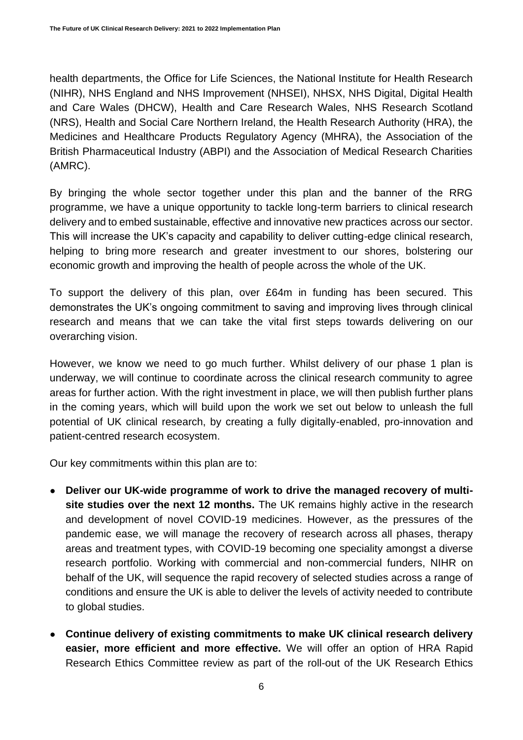health departments, the Office for Life Sciences, the National Institute for Health Research (NIHR), NHS England and NHS Improvement (NHSEI), NHSX, NHS Digital, Digital Health and Care Wales (DHCW), Health and Care Research Wales, NHS Research Scotland (NRS), Health and Social Care Northern Ireland, the Health Research Authority (HRA), the Medicines and Healthcare Products Regulatory Agency (MHRA), the Association of the British Pharmaceutical Industry (ABPI) and the Association of Medical Research Charities (AMRC).

By bringing the whole sector together under this plan and the banner of the RRG programme, we have a unique opportunity to tackle long-term barriers to clinical research delivery and to embed sustainable, effective and innovative new practices across our sector. This will increase the UK's capacity and capability to deliver cutting-edge clinical research, helping to bring more research and greater investment to our shores, bolstering our economic growth and improving the health of people across the whole of the UK.

To support the delivery of this plan, over £64m in funding has been secured. This demonstrates the UK's ongoing commitment to saving and improving lives through clinical research and means that we can take the vital first steps towards delivering on our overarching vision.

However, we know we need to go much further. Whilst delivery of our phase 1 plan is underway, we will continue to coordinate across the clinical research community to agree areas for further action. With the right investment in place, we will then publish further plans in the coming years, which will build upon the work we set out below to unleash the full potential of UK clinical research, by creating a fully digitally-enabled, pro-innovation and patient-centred research ecosystem.

Our key commitments within this plan are to:

- Deliver our UK-wide programme of work to drive the managed recovery of multi**site studies over the next 12 months.** The UK remains highly active in the research and development of novel COVID-19 medicines. However, as the pressures of the pandemic ease, we will manage the recovery of research across all phases, therapy areas and treatment types, with COVID-19 becoming one speciality amongst a diverse research portfolio. Working with commercial and non-commercial funders, NIHR on behalf of the UK, will sequence the rapid recovery of selected studies across a range of conditions and ensure the UK is able to deliver the levels of activity needed to contribute to global studies.
- **Continue delivery of existing commitments to make UK clinical research delivery easier, more efficient and more effective.** We will offer an option of HRA Rapid Research Ethics Committee review as part of the roll-out of the UK Research Ethics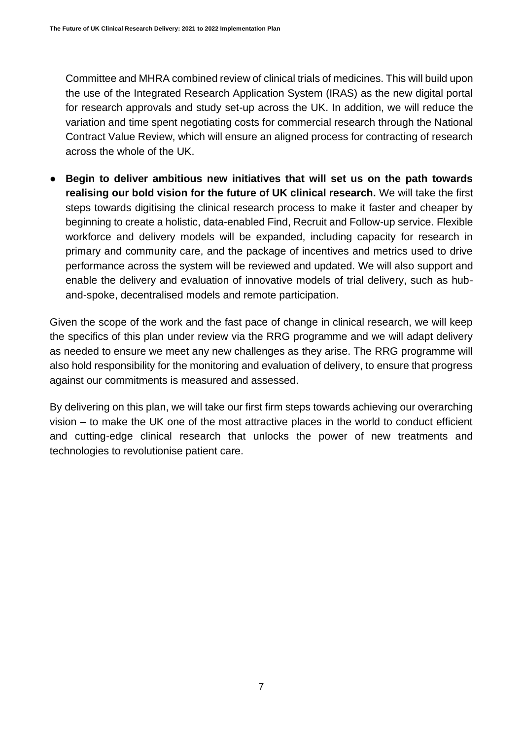Committee and MHRA combined review of clinical trials of medicines. This will build upon the use of the Integrated Research Application System (IRAS) as the new digital portal for research approvals and study set-up across the UK. In addition, we will reduce the variation and time spent negotiating costs for commercial research through the National Contract Value Review, which will ensure an aligned process for contracting of research across the whole of the UK.

● **Begin to deliver ambitious new initiatives that will set us on the path towards realising our bold vision for the future of UK clinical research.** We will take the first steps towards digitising the clinical research process to make it faster and cheaper by beginning to create a holistic, data-enabled Find, Recruit and Follow-up service. Flexible workforce and delivery models will be expanded, including capacity for research in primary and community care, and the package of incentives and metrics used to drive performance across the system will be reviewed and updated. We will also support and enable the delivery and evaluation of innovative models of trial delivery, such as huband-spoke, decentralised models and remote participation.

Given the scope of the work and the fast pace of change in clinical research, we will keep the specifics of this plan under review via the RRG programme and we will adapt delivery as needed to ensure we meet any new challenges as they arise. The RRG programme will also hold responsibility for the monitoring and evaluation of delivery, to ensure that progress against our commitments is measured and assessed.

By delivering on this plan, we will take our first firm steps towards achieving our overarching vision – to make the UK one of the most attractive places in the world to conduct efficient and cutting-edge clinical research that unlocks the power of new treatments and technologies to revolutionise patient care.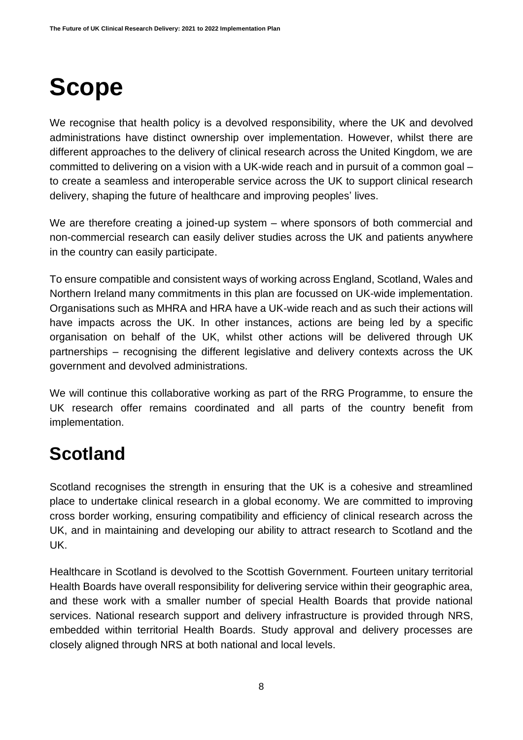# <span id="page-7-0"></span>**Scope**

We recognise that health policy is a devolved responsibility, where the UK and devolved administrations have distinct ownership over implementation. However, whilst there are different approaches to the delivery of clinical research across the United Kingdom, we are committed to delivering on a vision with a UK-wide reach and in pursuit of a common goal – to create a seamless and interoperable service across the UK to support clinical research delivery, shaping the future of healthcare and improving peoples' lives.

We are therefore creating a joined-up system – where sponsors of both commercial and non-commercial research can easily deliver studies across the UK and patients anywhere in the country can easily participate.

To ensure compatible and consistent ways of working across England, Scotland, Wales and Northern Ireland many commitments in this plan are focussed on UK-wide implementation. Organisations such as MHRA and HRA have a UK-wide reach and as such their actions will have impacts across the UK. In other instances, actions are being led by a specific organisation on behalf of the UK, whilst other actions will be delivered through UK partnerships – recognising the different legislative and delivery contexts across the UK government and devolved administrations.

We will continue this collaborative working as part of the RRG Programme, to ensure the UK research offer remains coordinated and all parts of the country benefit from implementation.

#### <span id="page-7-1"></span>**Scotland**

Scotland recognises the strength in ensuring that the UK is a cohesive and streamlined place to undertake clinical research in a global economy. We are committed to improving cross border working, ensuring compatibility and efficiency of clinical research across the UK, and in maintaining and developing our ability to attract research to Scotland and the UK.

Healthcare in Scotland is devolved to the Scottish Government. Fourteen unitary territorial Health Boards have overall responsibility for delivering service within their geographic area, and these work with a smaller number of special Health Boards that provide national services. National research support and delivery infrastructure is provided through NRS, embedded within territorial Health Boards. Study approval and delivery processes are closely aligned through NRS at both national and local levels.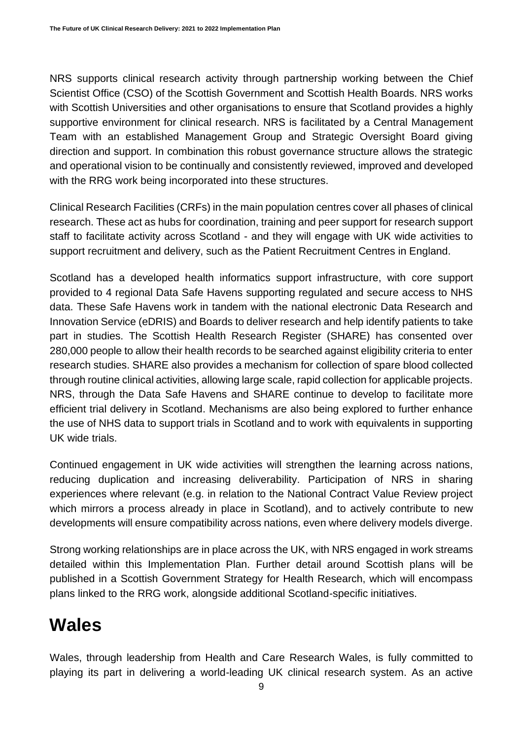NRS supports clinical research activity through partnership working between the Chief Scientist Office (CSO) of the Scottish Government and Scottish Health Boards. NRS works with Scottish Universities and other organisations to ensure that Scotland provides a highly supportive environment for clinical research. NRS is facilitated by a Central Management Team with an established Management Group and Strategic Oversight Board giving direction and support. In combination this robust governance structure allows the strategic and operational vision to be continually and consistently reviewed, improved and developed with the RRG work being incorporated into these structures.

Clinical Research Facilities (CRFs) in the main population centres cover all phases of clinical research. These act as hubs for coordination, training and peer support for research support staff to facilitate activity across Scotland - and they will engage with UK wide activities to support recruitment and delivery, such as the Patient Recruitment Centres in England.

Scotland has a developed health informatics support infrastructure, with core support provided to 4 regional Data Safe Havens supporting regulated and secure access to NHS data. These Safe Havens work in tandem with the national electronic Data Research and Innovation Service (eDRIS) and Boards to deliver research and help identify patients to take part in studies. The Scottish Health Research Register (SHARE) has consented over 280,000 people to allow their health records to be searched against eligibility criteria to enter research studies. SHARE also provides a mechanism for collection of spare blood collected through routine clinical activities, allowing large scale, rapid collection for applicable projects. NRS, through the Data Safe Havens and SHARE continue to develop to facilitate more efficient trial delivery in Scotland. Mechanisms are also being explored to further enhance the use of NHS data to support trials in Scotland and to work with equivalents in supporting UK wide trials.

Continued engagement in UK wide activities will strengthen the learning across nations, reducing duplication and increasing deliverability. Participation of NRS in sharing experiences where relevant (e.g. in relation to the National Contract Value Review project which mirrors a process already in place in Scotland), and to actively contribute to new developments will ensure compatibility across nations, even where delivery models diverge.

Strong working relationships are in place across the UK, with NRS engaged in work streams detailed within this Implementation Plan. Further detail around Scottish plans will be published in a Scottish Government Strategy for Health Research, which will encompass plans linked to the RRG work, alongside additional Scotland-specific initiatives.

#### <span id="page-8-0"></span>**Wales**

Wales, through leadership from Health and Care Research Wales, is fully committed to playing its part in delivering a world-leading UK clinical research system. As an active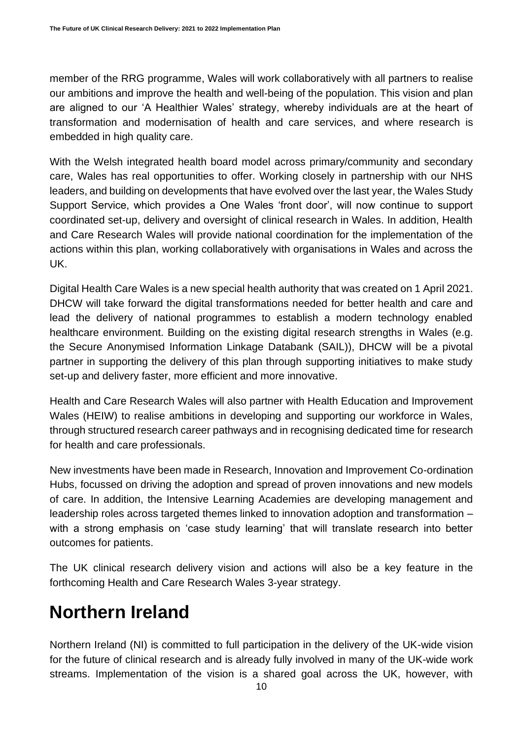member of the RRG programme, Wales will work collaboratively with all partners to realise our ambitions and improve the health and well-being of the population. This vision and plan are aligned to our 'A Healthier Wales' strategy, whereby individuals are at the heart of transformation and modernisation of health and care services, and where research is embedded in high quality care.

With the Welsh integrated health board model across primary/community and secondary care, Wales has real opportunities to offer. Working closely in partnership with our NHS leaders, and building on developments that have evolved over the last year, the Wales Study Support Service, which provides a One Wales 'front door', will now continue to support coordinated set-up, delivery and oversight of clinical research in Wales. In addition, Health and Care Research Wales will provide national coordination for the implementation of the actions within this plan, working collaboratively with organisations in Wales and across the UK.

Digital Health Care Wales is a new special health authority that was created on 1 April 2021. DHCW will take forward the digital transformations needed for better health and care and lead the delivery of national programmes to establish a modern technology enabled healthcare environment. Building on the existing digital research strengths in Wales (e.g. the Secure Anonymised Information Linkage Databank (SAIL)), DHCW will be a pivotal partner in supporting the delivery of this plan through supporting initiatives to make study set-up and delivery faster, more efficient and more innovative.

Health and Care Research Wales will also partner with Health Education and Improvement Wales (HEIW) to realise ambitions in developing and supporting our workforce in Wales, through structured research career pathways and in recognising dedicated time for research for health and care professionals.

New investments have been made in Research, Innovation and Improvement Co-ordination Hubs, focussed on driving the adoption and spread of proven innovations and new models of care. In addition, the Intensive Learning Academies are developing management and leadership roles across targeted themes linked to innovation adoption and transformation – with a strong emphasis on 'case study learning' that will translate research into better outcomes for patients.

The UK clinical research delivery vision and actions will also be a key feature in the forthcoming Health and Care Research Wales 3-year strategy.

#### <span id="page-9-0"></span>**Northern Ireland**

Northern Ireland (NI) is committed to full participation in the delivery of the UK-wide vision for the future of clinical research and is already fully involved in many of the UK-wide work streams. Implementation of the vision is a shared goal across the UK, however, with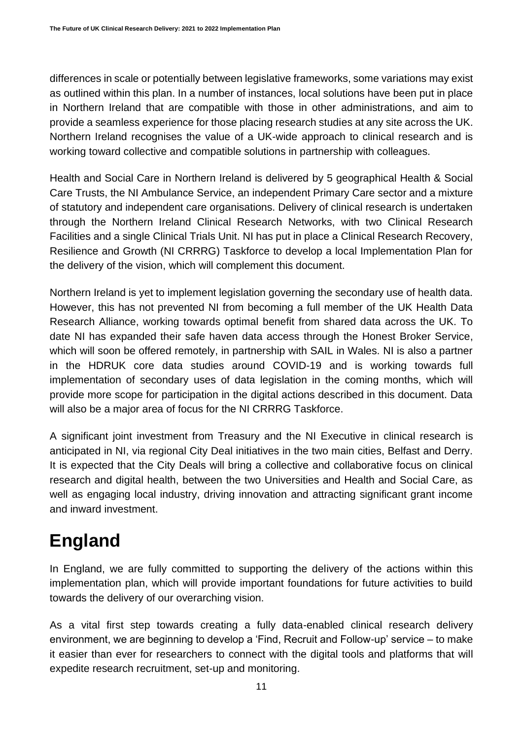differences in scale or potentially between legislative frameworks, some variations may exist as outlined within this plan. In a number of instances, local solutions have been put in place in Northern Ireland that are compatible with those in other administrations, and aim to provide a seamless experience for those placing research studies at any site across the UK. Northern Ireland recognises the value of a UK-wide approach to clinical research and is working toward collective and compatible solutions in partnership with colleagues.

Health and Social Care in Northern Ireland is delivered by 5 geographical Health & Social Care Trusts, the NI Ambulance Service, an independent Primary Care sector and a mixture of statutory and independent care organisations. Delivery of clinical research is undertaken through the Northern Ireland Clinical Research Networks, with two Clinical Research Facilities and a single Clinical Trials Unit. NI has put in place a Clinical Research Recovery, Resilience and Growth (NI CRRRG) Taskforce to develop a local Implementation Plan for the delivery of the vision, which will complement this document.

Northern Ireland is yet to implement legislation governing the secondary use of health data. However, this has not prevented NI from becoming a full member of the UK Health Data Research Alliance, working towards optimal benefit from shared data across the UK. To date NI has expanded their safe haven data access through the Honest Broker Service, which will soon be offered remotely, in partnership with SAIL in Wales. NI is also a partner in the HDRUK core data studies around COVID-19 and is working towards full implementation of secondary uses of data legislation in the coming months, which will provide more scope for participation in the digital actions described in this document. Data will also be a major area of focus for the NI CRRRG Taskforce.

A significant joint investment from Treasury and the NI Executive in clinical research is anticipated in NI, via regional City Deal initiatives in the two main cities, Belfast and Derry. It is expected that the City Deals will bring a collective and collaborative focus on clinical research and digital health, between the two Universities and Health and Social Care, as well as engaging local industry, driving innovation and attracting significant grant income and inward investment.

#### <span id="page-10-0"></span>**England**

In England, we are fully committed to supporting the delivery of the actions within this implementation plan, which will provide important foundations for future activities to build towards the delivery of our overarching vision.

As a vital first step towards creating a fully data-enabled clinical research delivery environment, we are beginning to develop a 'Find, Recruit and Follow-up' service – to make it easier than ever for researchers to connect with the digital tools and platforms that will expedite research recruitment, set-up and monitoring.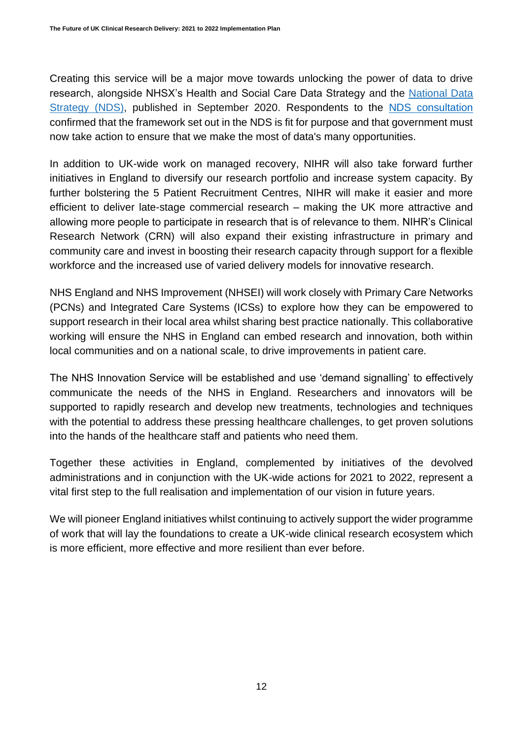Creating this service will be a major move towards unlocking the power of data to drive research, alongside NHSX's Health and Social Care Data Strategy and the [National Data](https://www.gov.uk/government/publications/uk-national-data-strategy)  [Strategy \(NDS\),](https://www.gov.uk/government/publications/uk-national-data-strategy) published in September 2020. Respondents to the [NDS consultation](https://eur02.safelinks.protection.outlook.com/?url=https%3A%2F%2Fwww.gov.uk%2Fgovernment%2Fconsultations%2Fuk-national-data-strategy-nds-consultation%2Foutcome%2Fgovernment-response-to-the-consultation-on-the-national-data-strategy&data=04%7C01%7CDarryl.Clough2%40officeforlifesciences.gov.uk%7C32405ea373de452e73e008d92bfd32ac%7Ccbac700502c143ebb497e6492d1b2dd8%7C0%7C0%7C637589188739292505%7CUnknown%7CTWFpbGZsb3d8eyJWIjoiMC4wLjAwMDAiLCJQIjoiV2luMzIiLCJBTiI6Ik1haWwiLCJXVCI6Mn0%3D%7C1000&sdata=C%2FyNF8wnU8LF36%2B53IuADy2MEP80a7BtSivl1kghefg%3D&reserved=0) confirmed that the framework set out in the NDS is fit for purpose and that government must now take action to ensure that we make the most of data's many opportunities.

In addition to UK-wide work on managed recovery, NIHR will also take forward further initiatives in England to diversify our research portfolio and increase system capacity. By further bolstering the 5 Patient Recruitment Centres, NIHR will make it easier and more efficient to deliver late-stage commercial research – making the UK more attractive and allowing more people to participate in research that is of relevance to them. NIHR's Clinical Research Network (CRN) will also expand their existing infrastructure in primary and community care and invest in boosting their research capacity through support for a flexible workforce and the increased use of varied delivery models for innovative research.

NHS England and NHS Improvement (NHSEI) will work closely with Primary Care Networks (PCNs) and Integrated Care Systems (ICSs) to explore how they can be empowered to support research in their local area whilst sharing best practice nationally. This collaborative working will ensure the NHS in England can embed research and innovation, both within local communities and on a national scale, to drive improvements in patient care.

The NHS Innovation Service will be established and use 'demand signalling' to effectively communicate the needs of the NHS in England. Researchers and innovators will be supported to rapidly research and develop new treatments, technologies and techniques with the potential to address these pressing healthcare challenges, to get proven solutions into the hands of the healthcare staff and patients who need them.

Together these activities in England, complemented by initiatives of the devolved administrations and in conjunction with the UK-wide actions for 2021 to 2022, represent a vital first step to the full realisation and implementation of our vision in future years.

We will pioneer England initiatives whilst continuing to actively support the wider programme of work that will lay the foundations to create a UK-wide clinical research ecosystem which is more efficient, more effective and more resilient than ever before.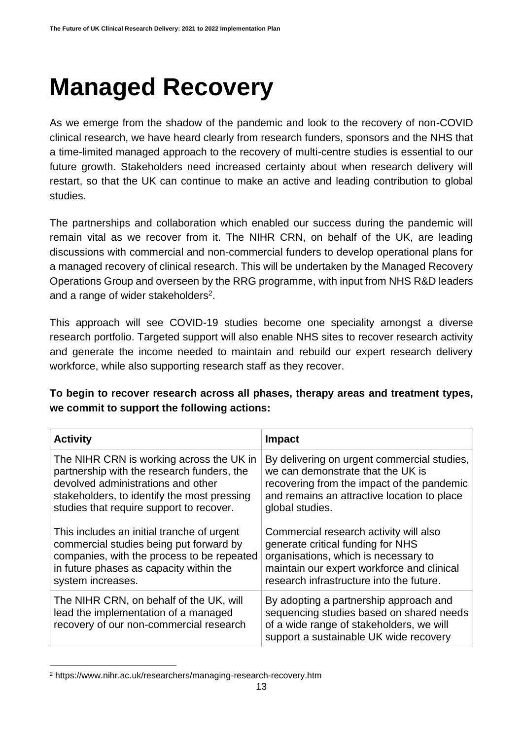## <span id="page-12-0"></span>**Managed Recovery**

As we emerge from the shadow of the pandemic and look to the recovery of non-COVID clinical research, we have heard clearly from research funders, sponsors and the NHS that a time-limited managed approach to the recovery of multi-centre studies is essential to our future growth. Stakeholders need increased certainty about when research delivery will restart, so that the UK can continue to make an active and leading contribution to global studies.

The partnerships and collaboration which enabled our success during the pandemic will remain vital as we recover from it. The NIHR CRN, on behalf of the UK, are leading discussions with commercial and non-commercial funders to develop operational plans for a managed recovery of clinical research. This will be undertaken by the Managed Recovery Operations Group and overseen by the RRG programme, with input from NHS R&D leaders and a range of wider stakeholders<sup>2</sup>.

This approach will see COVID-19 studies become one speciality amongst a diverse research portfolio. Targeted support will also enable NHS sites to recover research activity and generate the income needed to maintain and rebuild our expert research delivery workforce, while also supporting research staff as they recover.

**To begin to recover research across all phases, therapy areas and treatment types, we commit to support the following actions:**

| <b>Activity</b>                                                                                                            | <b>Impact</b>                                                                                                                                                            |
|----------------------------------------------------------------------------------------------------------------------------|--------------------------------------------------------------------------------------------------------------------------------------------------------------------------|
| The NIHR CRN is working across the UK in                                                                                   | By delivering on urgent commercial studies,                                                                                                                              |
| partnership with the research funders, the                                                                                 | we can demonstrate that the UK is                                                                                                                                        |
| devolved administrations and other                                                                                         | recovering from the impact of the pandemic                                                                                                                               |
| stakeholders, to identify the most pressing                                                                                | and remains an attractive location to place                                                                                                                              |
| studies that require support to recover.                                                                                   | global studies.                                                                                                                                                          |
| This includes an initial tranche of urgent                                                                                 | Commercial research activity will also                                                                                                                                   |
| commercial studies being put forward by                                                                                    | generate critical funding for NHS                                                                                                                                        |
| companies, with the process to be repeated                                                                                 | organisations, which is necessary to                                                                                                                                     |
| in future phases as capacity within the                                                                                    | maintain our expert workforce and clinical                                                                                                                               |
| system increases.                                                                                                          | research infrastructure into the future.                                                                                                                                 |
| The NIHR CRN, on behalf of the UK, will<br>lead the implementation of a managed<br>recovery of our non-commercial research | By adopting a partnership approach and<br>sequencing studies based on shared needs<br>of a wide range of stakeholders, we will<br>support a sustainable UK wide recovery |

<sup>2</sup> https://www.nihr.ac.uk/researchers/managing-research-recovery.htm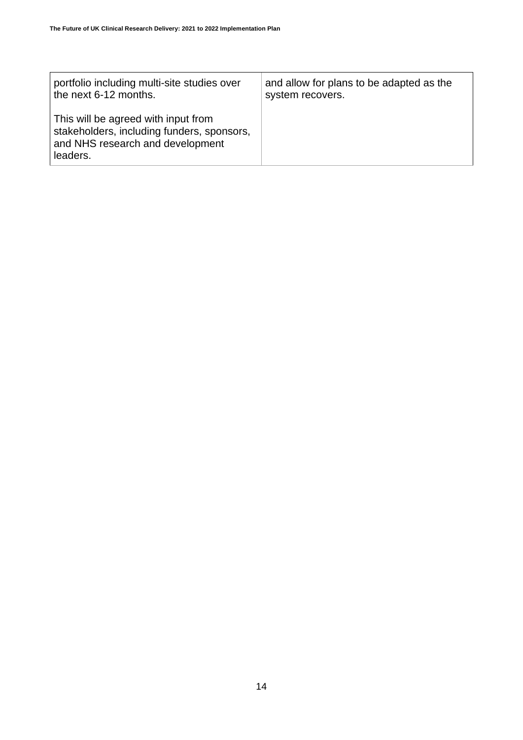| portfolio including multi-site studies over                                                                                       | and allow for plans to be adapted as the |
|-----------------------------------------------------------------------------------------------------------------------------------|------------------------------------------|
| the next 6-12 months.                                                                                                             | system recovers.                         |
| This will be agreed with input from<br>stakeholders, including funders, sponsors,<br>and NHS research and development<br>leaders. |                                          |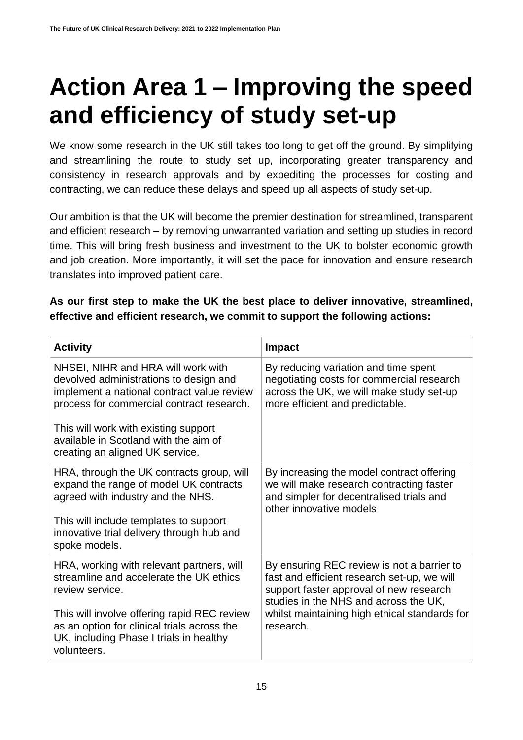## <span id="page-14-0"></span>**Action Area 1 – Improving the speed and efficiency of study set-up**

We know some research in the UK still takes too long to get off the ground. By simplifying and streamlining the route to study set up, incorporating greater transparency and consistency in research approvals and by expediting the processes for costing and contracting, we can reduce these delays and speed up all aspects of study set-up.

Our ambition is that the UK will become the premier destination for streamlined, transparent and efficient research – by removing unwarranted variation and setting up studies in record time. This will bring fresh business and investment to the UK to bolster economic growth and job creation. More importantly, it will set the pace for innovation and ensure research translates into improved patient care.

#### **As our first step to make the UK the best place to deliver innovative, streamlined, effective and efficient research, we commit to support the following actions:**

| <b>Activity</b>                                                                                                                                                                                                                                                                             | <b>Impact</b>                                                                                                                                                                                                                               |
|---------------------------------------------------------------------------------------------------------------------------------------------------------------------------------------------------------------------------------------------------------------------------------------------|---------------------------------------------------------------------------------------------------------------------------------------------------------------------------------------------------------------------------------------------|
| NHSEI, NIHR and HRA will work with<br>devolved administrations to design and<br>implement a national contract value review<br>process for commercial contract research.<br>This will work with existing support<br>available in Scotland with the aim of<br>creating an aligned UK service. | By reducing variation and time spent<br>negotiating costs for commercial research<br>across the UK, we will make study set-up<br>more efficient and predictable.                                                                            |
| HRA, through the UK contracts group, will<br>expand the range of model UK contracts<br>agreed with industry and the NHS.<br>This will include templates to support<br>innovative trial delivery through hub and<br>spoke models.                                                            | By increasing the model contract offering<br>we will make research contracting faster<br>and simpler for decentralised trials and<br>other innovative models                                                                                |
| HRA, working with relevant partners, will<br>streamline and accelerate the UK ethics<br>review service.<br>This will involve offering rapid REC review<br>as an option for clinical trials across the<br>UK, including Phase I trials in healthy<br>volunteers.                             | By ensuring REC review is not a barrier to<br>fast and efficient research set-up, we will<br>support faster approval of new research<br>studies in the NHS and across the UK,<br>whilst maintaining high ethical standards for<br>research. |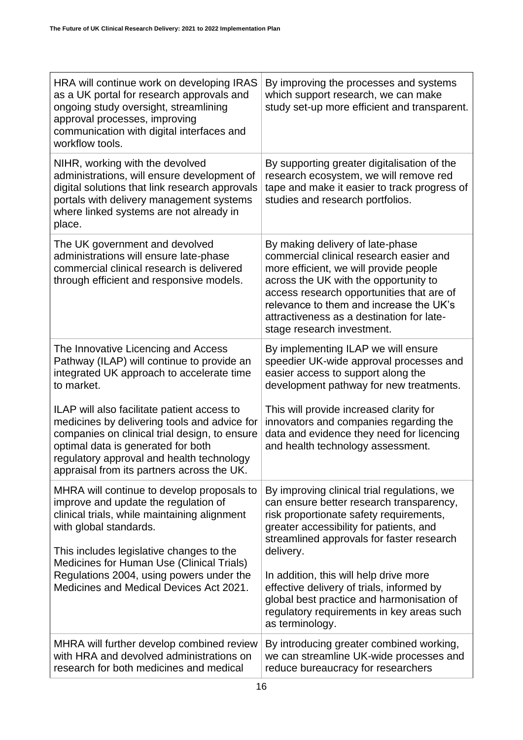| HRA will continue work on developing IRAS<br>as a UK portal for research approvals and<br>ongoing study oversight, streamlining<br>approval processes, improving<br>communication with digital interfaces and<br>workflow tools.                                              | By improving the processes and systems<br>which support research, we can make<br>study set-up more efficient and transparent.                                                                                                                                                                                                     |
|-------------------------------------------------------------------------------------------------------------------------------------------------------------------------------------------------------------------------------------------------------------------------------|-----------------------------------------------------------------------------------------------------------------------------------------------------------------------------------------------------------------------------------------------------------------------------------------------------------------------------------|
| NIHR, working with the devolved<br>administrations, will ensure development of<br>digital solutions that link research approvals<br>portals with delivery management systems<br>where linked systems are not already in<br>place.                                             | By supporting greater digitalisation of the<br>research ecosystem, we will remove red<br>tape and make it easier to track progress of<br>studies and research portfolios.                                                                                                                                                         |
| The UK government and devolved<br>administrations will ensure late-phase<br>commercial clinical research is delivered<br>through efficient and responsive models.                                                                                                             | By making delivery of late-phase<br>commercial clinical research easier and<br>more efficient, we will provide people<br>across the UK with the opportunity to<br>access research opportunities that are of<br>relevance to them and increase the UK's<br>attractiveness as a destination for late-<br>stage research investment. |
| The Innovative Licencing and Access<br>Pathway (ILAP) will continue to provide an<br>integrated UK approach to accelerate time<br>to market.                                                                                                                                  | By implementing ILAP we will ensure<br>speedier UK-wide approval processes and<br>easier access to support along the<br>development pathway for new treatments.                                                                                                                                                                   |
| ILAP will also facilitate patient access to<br>medicines by delivering tools and advice for<br>companies on clinical trial design, to ensure<br>optimal data is generated for both<br>regulatory approval and health technology<br>appraisal from its partners across the UK. | This will provide increased clarity for<br>innovators and companies regarding the<br>data and evidence they need for licencing<br>and health technology assessment.                                                                                                                                                               |
| MHRA will continue to develop proposals to<br>improve and update the regulation of<br>clinical trials, while maintaining alignment<br>with global standards.<br>This includes legislative changes to the                                                                      | By improving clinical trial regulations, we<br>can ensure better research transparency,<br>risk proportionate safety requirements,<br>greater accessibility for patients, and<br>streamlined approvals for faster research<br>delivery.                                                                                           |
| Medicines for Human Use (Clinical Trials)<br>Regulations 2004, using powers under the<br>Medicines and Medical Devices Act 2021.                                                                                                                                              | In addition, this will help drive more<br>effective delivery of trials, informed by<br>global best practice and harmonisation of<br>regulatory requirements in key areas such<br>as terminology.                                                                                                                                  |
| MHRA will further develop combined review<br>with HRA and devolved administrations on<br>research for both medicines and medical                                                                                                                                              | By introducing greater combined working,<br>we can streamline UK-wide processes and<br>reduce bureaucracy for researchers                                                                                                                                                                                                         |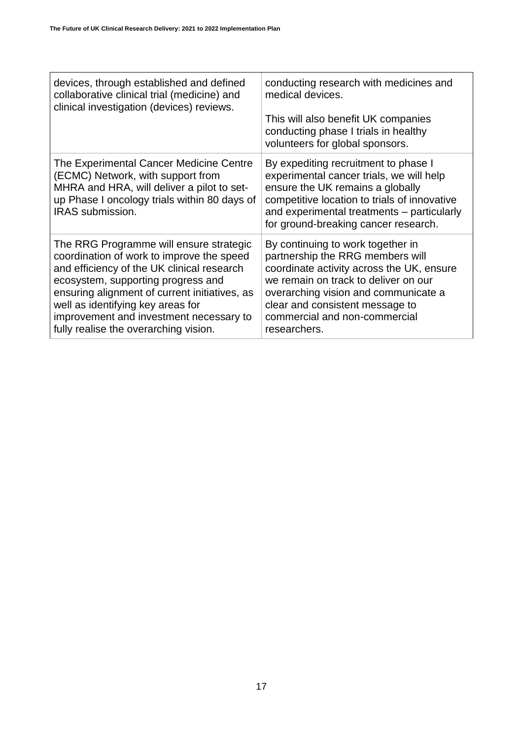| devices, through established and defined<br>collaborative clinical trial (medicine) and<br>clinical investigation (devices) reviews.                                                                                                                                                                                                               | conducting research with medicines and<br>medical devices.<br>This will also benefit UK companies<br>conducting phase I trials in healthy<br>volunteers for global sponsors.                                                                                                           |
|----------------------------------------------------------------------------------------------------------------------------------------------------------------------------------------------------------------------------------------------------------------------------------------------------------------------------------------------------|----------------------------------------------------------------------------------------------------------------------------------------------------------------------------------------------------------------------------------------------------------------------------------------|
| The Experimental Cancer Medicine Centre<br>(ECMC) Network, with support from<br>MHRA and HRA, will deliver a pilot to set-<br>up Phase I oncology trials within 80 days of<br><b>IRAS</b> submission.                                                                                                                                              | By expediting recruitment to phase I<br>experimental cancer trials, we will help<br>ensure the UK remains a globally<br>competitive location to trials of innovative<br>and experimental treatments – particularly<br>for ground-breaking cancer research.                             |
| The RRG Programme will ensure strategic<br>coordination of work to improve the speed<br>and efficiency of the UK clinical research<br>ecosystem, supporting progress and<br>ensuring alignment of current initiatives, as<br>well as identifying key areas for<br>improvement and investment necessary to<br>fully realise the overarching vision. | By continuing to work together in<br>partnership the RRG members will<br>coordinate activity across the UK, ensure<br>we remain on track to deliver on our<br>overarching vision and communicate a<br>clear and consistent message to<br>commercial and non-commercial<br>researchers. |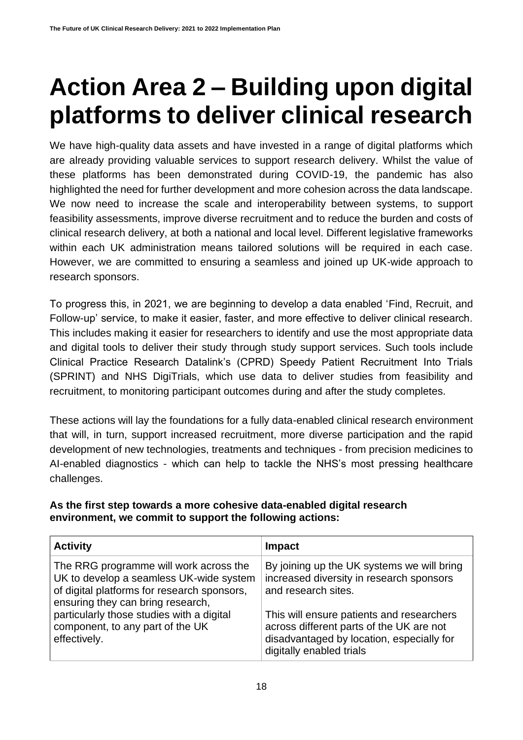## <span id="page-17-0"></span>**Action Area 2 – Building upon digital platforms to deliver clinical research**

We have high-quality data assets and have invested in a range of digital platforms which are already providing valuable services to support research delivery. Whilst the value of these platforms has been demonstrated during COVID-19, the pandemic has also highlighted the need for further development and more cohesion across the data landscape. We now need to increase the scale and interoperability between systems, to support feasibility assessments, improve diverse recruitment and to reduce the burden and costs of clinical research delivery, at both a national and local level. Different legislative frameworks within each UK administration means tailored solutions will be required in each case. However, we are committed to ensuring a seamless and joined up UK-wide approach to research sponsors.

To progress this, in 2021, we are beginning to develop a data enabled 'Find, Recruit, and Follow-up' service, to make it easier, faster, and more effective to deliver clinical research. This includes making it easier for researchers to identify and use the most appropriate data and digital tools to deliver their study through study support services. Such tools include Clinical Practice Research Datalink's (CPRD) Speedy Patient Recruitment Into Trials (SPRINT) and NHS DigiTrials, which use data to deliver studies from feasibility and recruitment, to monitoring participant outcomes during and after the study completes.

These actions will lay the foundations for a fully data-enabled clinical research environment that will, in turn, support increased recruitment, more diverse participation and the rapid development of new technologies, treatments and techniques - from precision medicines to AI-enabled diagnostics - which can help to tackle the NHS's most pressing healthcare challenges.

| As the first step towards a more cohesive data-enabled digital research |
|-------------------------------------------------------------------------|
| environment, we commit to support the following actions:                |

| <b>Activity</b>                             | <b>Impact</b>                              |
|---------------------------------------------|--------------------------------------------|
| The RRG programme will work across the      | By joining up the UK systems we will bring |
| UK to develop a seamless UK-wide system     | increased diversity in research sponsors   |
| of digital platforms for research sponsors, | and research sites.                        |
| ensuring they can bring research,           | This will ensure patients and researchers  |
| particularly those studies with a digital   | across different parts of the UK are not   |
| component, to any part of the UK            | disadvantaged by location, especially for  |
| effectively.                                | digitally enabled trials                   |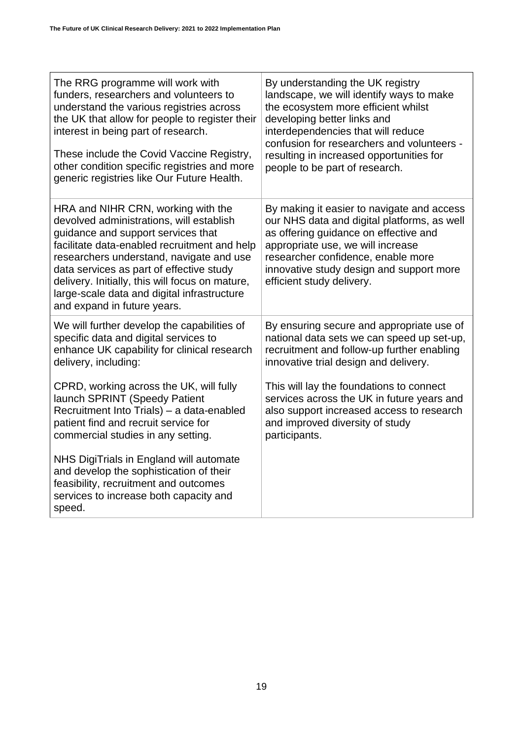| The RRG programme will work with                                                                                                                                                                                                                                                                                                                                                              | By understanding the UK registry                                                                                                                                                                                                                                                       |
|-----------------------------------------------------------------------------------------------------------------------------------------------------------------------------------------------------------------------------------------------------------------------------------------------------------------------------------------------------------------------------------------------|----------------------------------------------------------------------------------------------------------------------------------------------------------------------------------------------------------------------------------------------------------------------------------------|
| funders, researchers and volunteers to                                                                                                                                                                                                                                                                                                                                                        | landscape, we will identify ways to make                                                                                                                                                                                                                                               |
| understand the various registries across                                                                                                                                                                                                                                                                                                                                                      | the ecosystem more efficient whilst                                                                                                                                                                                                                                                    |
| the UK that allow for people to register their                                                                                                                                                                                                                                                                                                                                                | developing better links and                                                                                                                                                                                                                                                            |
| interest in being part of research.                                                                                                                                                                                                                                                                                                                                                           | interdependencies that will reduce                                                                                                                                                                                                                                                     |
| These include the Covid Vaccine Registry,                                                                                                                                                                                                                                                                                                                                                     | confusion for researchers and volunteers -                                                                                                                                                                                                                                             |
| other condition specific registries and more                                                                                                                                                                                                                                                                                                                                                  | resulting in increased opportunities for                                                                                                                                                                                                                                               |
| generic registries like Our Future Health.                                                                                                                                                                                                                                                                                                                                                    | people to be part of research.                                                                                                                                                                                                                                                         |
| HRA and NIHR CRN, working with the<br>devolved administrations, will establish<br>guidance and support services that<br>facilitate data-enabled recruitment and help<br>researchers understand, navigate and use<br>data services as part of effective study<br>delivery. Initially, this will focus on mature,<br>large-scale data and digital infrastructure<br>and expand in future years. | By making it easier to navigate and access<br>our NHS data and digital platforms, as well<br>as offering guidance on effective and<br>appropriate use, we will increase<br>researcher confidence, enable more<br>innovative study design and support more<br>efficient study delivery. |
| We will further develop the capabilities of                                                                                                                                                                                                                                                                                                                                                   | By ensuring secure and appropriate use of                                                                                                                                                                                                                                              |
| specific data and digital services to                                                                                                                                                                                                                                                                                                                                                         | national data sets we can speed up set-up,                                                                                                                                                                                                                                             |
| enhance UK capability for clinical research                                                                                                                                                                                                                                                                                                                                                   | recruitment and follow-up further enabling                                                                                                                                                                                                                                             |
| delivery, including:                                                                                                                                                                                                                                                                                                                                                                          | innovative trial design and delivery.                                                                                                                                                                                                                                                  |
| CPRD, working across the UK, will fully                                                                                                                                                                                                                                                                                                                                                       | This will lay the foundations to connect                                                                                                                                                                                                                                               |
| launch SPRINT (Speedy Patient                                                                                                                                                                                                                                                                                                                                                                 | services across the UK in future years and                                                                                                                                                                                                                                             |
| Recruitment Into Trials) - a data-enabled                                                                                                                                                                                                                                                                                                                                                     | also support increased access to research                                                                                                                                                                                                                                              |
| patient find and recruit service for                                                                                                                                                                                                                                                                                                                                                          | and improved diversity of study                                                                                                                                                                                                                                                        |
| commercial studies in any setting.                                                                                                                                                                                                                                                                                                                                                            | participants.                                                                                                                                                                                                                                                                          |
| NHS DigiTrials in England will automate<br>and develop the sophistication of their<br>feasibility, recruitment and outcomes<br>services to increase both capacity and<br>speed.                                                                                                                                                                                                               |                                                                                                                                                                                                                                                                                        |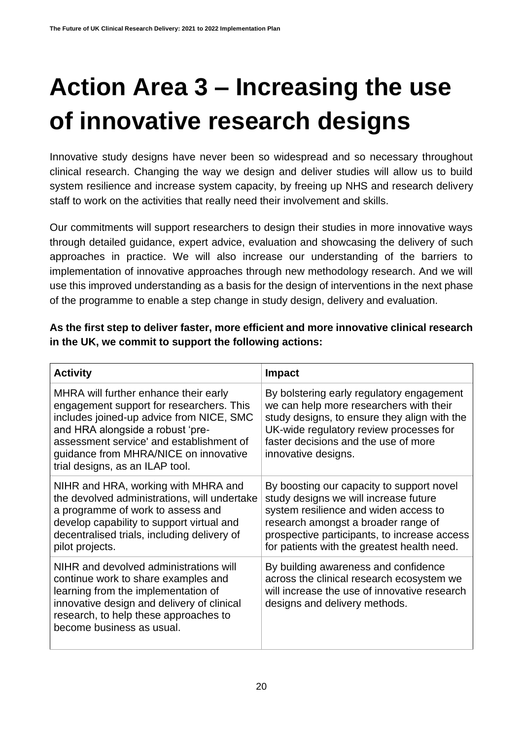# <span id="page-19-0"></span>**Action Area 3 – Increasing the use of innovative research designs**

Innovative study designs have never been so widespread and so necessary throughout clinical research. Changing the way we design and deliver studies will allow us to build system resilience and increase system capacity, by freeing up NHS and research delivery staff to work on the activities that really need their involvement and skills.

Our commitments will support researchers to design their studies in more innovative ways through detailed guidance, expert advice, evaluation and showcasing the delivery of such approaches in practice. We will also increase our understanding of the barriers to implementation of innovative approaches through new methodology research. And we will use this improved understanding as a basis for the design of interventions in the next phase of the programme to enable a step change in study design, delivery and evaluation.

#### **As the first step to deliver faster, more efficient and more innovative clinical research in the UK, we commit to support the following actions:**

| <b>Activity</b>                                                                                                                                                                                                                                                                           | <b>Impact</b>                                                                                                                                                                                                                                                     |
|-------------------------------------------------------------------------------------------------------------------------------------------------------------------------------------------------------------------------------------------------------------------------------------------|-------------------------------------------------------------------------------------------------------------------------------------------------------------------------------------------------------------------------------------------------------------------|
| MHRA will further enhance their early<br>engagement support for researchers. This<br>includes joined-up advice from NICE, SMC<br>and HRA alongside a robust 'pre-<br>assessment service' and establishment of<br>guidance from MHRA/NICE on innovative<br>trial designs, as an ILAP tool. | By bolstering early regulatory engagement<br>we can help more researchers with their<br>study designs, to ensure they align with the<br>UK-wide regulatory review processes for<br>faster decisions and the use of more<br>innovative designs.                    |
| NIHR and HRA, working with MHRA and<br>the devolved administrations, will undertake<br>a programme of work to assess and<br>develop capability to support virtual and<br>decentralised trials, including delivery of<br>pilot projects.                                                   | By boosting our capacity to support novel<br>study designs we will increase future<br>system resilience and widen access to<br>research amongst a broader range of<br>prospective participants, to increase access<br>for patients with the greatest health need. |
| NIHR and devolved administrations will<br>continue work to share examples and<br>learning from the implementation of<br>innovative design and delivery of clinical<br>research, to help these approaches to<br>become business as usual.                                                  | By building awareness and confidence<br>across the clinical research ecosystem we<br>will increase the use of innovative research<br>designs and delivery methods.                                                                                                |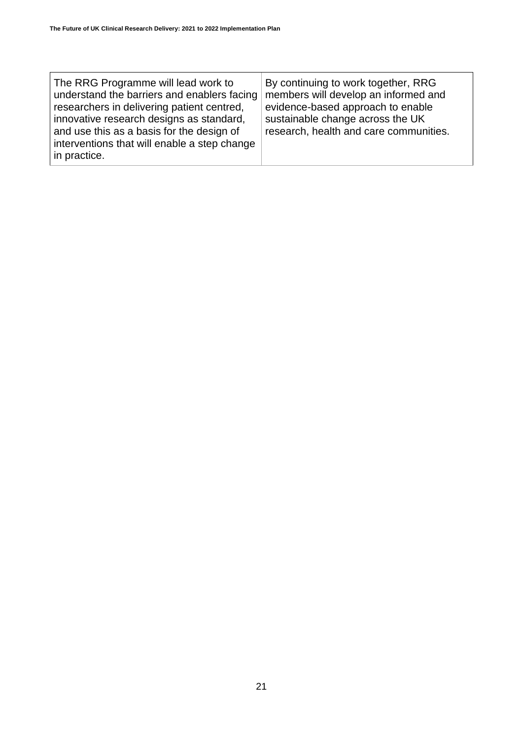| The RRG Programme will lead work to<br>understand the barriers and enablers facing<br>researchers in delivering patient centred,<br>innovative research designs as standard,<br>and use this as a basis for the design of<br>interventions that will enable a step change<br>in practice. | By continuing to work together, RRG<br>members will develop an informed and<br>evidence-based approach to enable<br>sustainable change across the UK<br>research, health and care communities. |
|-------------------------------------------------------------------------------------------------------------------------------------------------------------------------------------------------------------------------------------------------------------------------------------------|------------------------------------------------------------------------------------------------------------------------------------------------------------------------------------------------|
|-------------------------------------------------------------------------------------------------------------------------------------------------------------------------------------------------------------------------------------------------------------------------------------------|------------------------------------------------------------------------------------------------------------------------------------------------------------------------------------------------|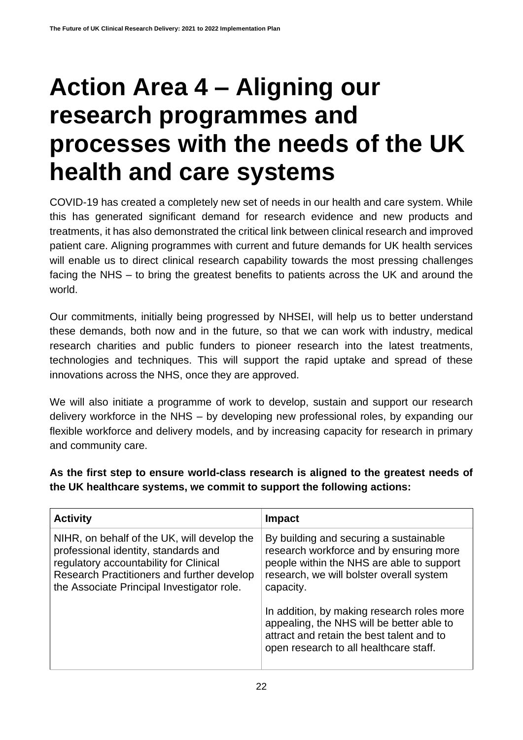### <span id="page-21-0"></span>**Action Area 4 – Aligning our research programmes and processes with the needs of the UK health and care systems**

COVID-19 has created a completely new set of needs in our health and care system. While this has generated significant demand for research evidence and new products and treatments, it has also demonstrated the critical link between clinical research and improved patient care. Aligning programmes with current and future demands for UK health services will enable us to direct clinical research capability towards the most pressing challenges facing the NHS – to bring the greatest benefits to patients across the UK and around the world.

Our commitments, initially being progressed by NHSEI, will help us to better understand these demands, both now and in the future, so that we can work with industry, medical research charities and public funders to pioneer research into the latest treatments, technologies and techniques. This will support the rapid uptake and spread of these innovations across the NHS, once they are approved.

We will also initiate a programme of work to develop, sustain and support our research delivery workforce in the NHS – by developing new professional roles, by expanding our flexible workforce and delivery models, and by increasing capacity for research in primary and community care.

**As the first step to ensure world-class research is aligned to the greatest needs of the UK healthcare systems, we commit to support the following actions:**

| <b>Activity</b>                                                                                                                                                                                                           | <b>Impact</b>                                                                                                                                                                                                                         |
|---------------------------------------------------------------------------------------------------------------------------------------------------------------------------------------------------------------------------|---------------------------------------------------------------------------------------------------------------------------------------------------------------------------------------------------------------------------------------|
| NIHR, on behalf of the UK, will develop the<br>professional identity, standards and<br>regulatory accountability for Clinical<br>Research Practitioners and further develop<br>the Associate Principal Investigator role. | By building and securing a sustainable<br>research workforce and by ensuring more<br>people within the NHS are able to support<br>research, we will bolster overall system<br>capacity.<br>In addition, by making research roles more |
|                                                                                                                                                                                                                           | appealing, the NHS will be better able to<br>attract and retain the best talent and to<br>open research to all healthcare staff.                                                                                                      |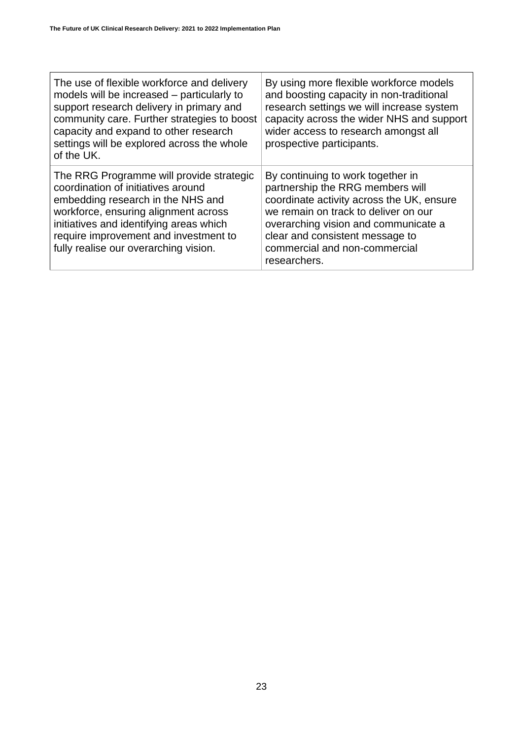| The use of flexible workforce and delivery<br>models will be increased - particularly to<br>support research delivery in primary and<br>community care. Further strategies to boost<br>capacity and expand to other research<br>settings will be explored across the whole<br>of the UK. | By using more flexible workforce models<br>and boosting capacity in non-traditional<br>research settings we will increase system<br>capacity across the wider NHS and support<br>wider access to research amongst all<br>prospective participants.                                     |
|------------------------------------------------------------------------------------------------------------------------------------------------------------------------------------------------------------------------------------------------------------------------------------------|----------------------------------------------------------------------------------------------------------------------------------------------------------------------------------------------------------------------------------------------------------------------------------------|
| The RRG Programme will provide strategic<br>coordination of initiatives around<br>embedding research in the NHS and<br>workforce, ensuring alignment across<br>initiatives and identifying areas which<br>require improvement and investment to<br>fully realise our overarching vision. | By continuing to work together in<br>partnership the RRG members will<br>coordinate activity across the UK, ensure<br>we remain on track to deliver on our<br>overarching vision and communicate a<br>clear and consistent message to<br>commercial and non-commercial<br>researchers. |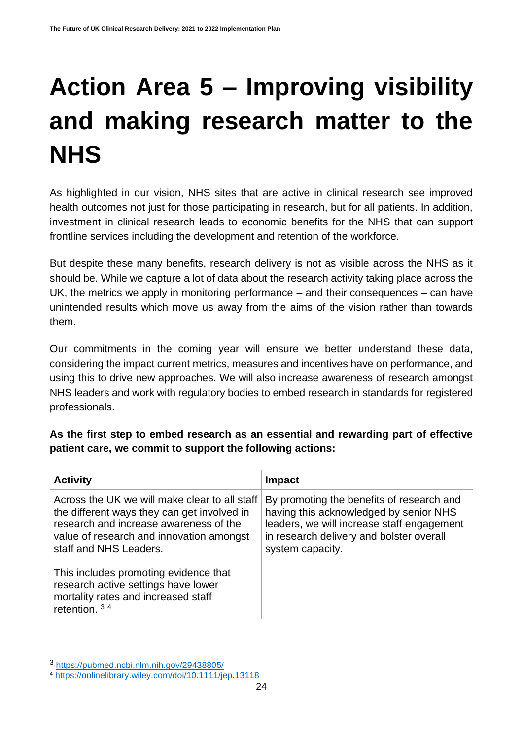# <span id="page-23-0"></span>**Action Area 5 – Improving visibility and making research matter to the NHS**

As highlighted in our vision, NHS sites that are active in clinical research see improved health outcomes not just for those participating in research, but for all patients. In addition, investment in clinical research leads to economic benefits for the NHS that can support frontline services including the development and retention of the workforce.

But despite these many benefits, research delivery is not as visible across the NHS as it should be. While we capture a lot of data about the research activity taking place across the UK, the metrics we apply in monitoring performance – and their consequences – can have unintended results which move us away from the aims of the vision rather than towards them.

Our commitments in the coming year will ensure we better understand these data, considering the impact current metrics, measures and incentives have on performance, and using this to drive new approaches. We will also increase awareness of research amongst NHS leaders and work with regulatory bodies to embed research in standards for registered professionals.

**As the first step to embed research as an essential and rewarding part of effective patient care, we commit to support the following actions:**

| <b>Activity</b>                                                                                                                                                                                              | Impact                                                                                                                                                                                            |
|--------------------------------------------------------------------------------------------------------------------------------------------------------------------------------------------------------------|---------------------------------------------------------------------------------------------------------------------------------------------------------------------------------------------------|
| Across the UK we will make clear to all staff<br>the different ways they can get involved in<br>research and increase awareness of the<br>value of research and innovation amongst<br>staff and NHS Leaders. | By promoting the benefits of research and<br>having this acknowledged by senior NHS<br>leaders, we will increase staff engagement<br>in research delivery and bolster overall<br>system capacity. |
| This includes promoting evidence that<br>research active settings have lower<br>mortality rates and increased staff<br>retention. $34$                                                                       |                                                                                                                                                                                                   |

<sup>3</sup> <https://pubmed.ncbi.nlm.nih.gov/29438805/>

<sup>4</sup> <https://onlinelibrary.wiley.com/doi/10.1111/jep.13118>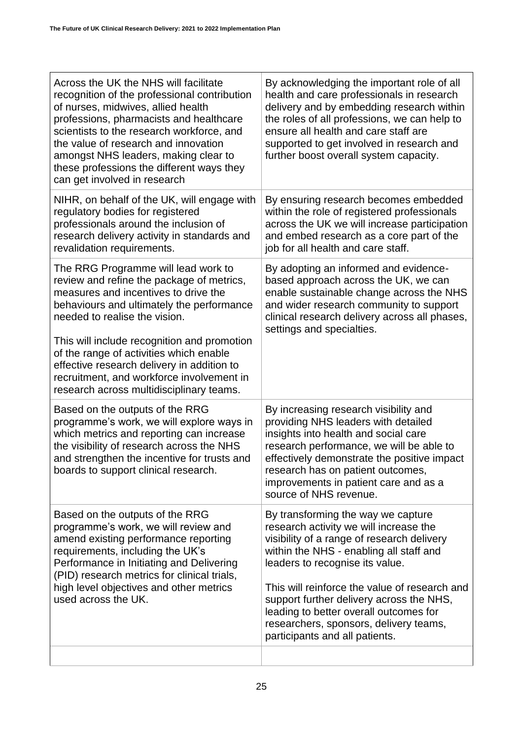| Across the UK the NHS will facilitate<br>recognition of the professional contribution<br>of nurses, midwives, allied health<br>professions, pharmacists and healthcare<br>scientists to the research workforce, and<br>the value of research and innovation<br>amongst NHS leaders, making clear to<br>these professions the different ways they<br>can get involved in research                                                        | By acknowledging the important role of all<br>health and care professionals in research<br>delivery and by embedding research within<br>the roles of all professions, we can help to<br>ensure all health and care staff are<br>supported to get involved in research and<br>further boost overall system capacity.                                                                                                         |
|-----------------------------------------------------------------------------------------------------------------------------------------------------------------------------------------------------------------------------------------------------------------------------------------------------------------------------------------------------------------------------------------------------------------------------------------|-----------------------------------------------------------------------------------------------------------------------------------------------------------------------------------------------------------------------------------------------------------------------------------------------------------------------------------------------------------------------------------------------------------------------------|
| NIHR, on behalf of the UK, will engage with<br>regulatory bodies for registered<br>professionals around the inclusion of<br>research delivery activity in standards and<br>revalidation requirements.                                                                                                                                                                                                                                   | By ensuring research becomes embedded<br>within the role of registered professionals<br>across the UK we will increase participation<br>and embed research as a core part of the<br>job for all health and care staff.                                                                                                                                                                                                      |
| The RRG Programme will lead work to<br>review and refine the package of metrics,<br>measures and incentives to drive the<br>behaviours and ultimately the performance<br>needed to realise the vision.<br>This will include recognition and promotion<br>of the range of activities which enable<br>effective research delivery in addition to<br>recruitment, and workforce involvement in<br>research across multidisciplinary teams. | By adopting an informed and evidence-<br>based approach across the UK, we can<br>enable sustainable change across the NHS<br>and wider research community to support<br>clinical research delivery across all phases,<br>settings and specialties.                                                                                                                                                                          |
| Based on the outputs of the RRG<br>programme's work, we will explore ways in<br>which metrics and reporting can increase<br>the visibility of research across the NHS<br>and strengthen the incentive for trusts and<br>boards to support clinical research.                                                                                                                                                                            | By increasing research visibility and<br>providing NHS leaders with detailed<br>insights into health and social care<br>research performance, we will be able to<br>effectively demonstrate the positive impact<br>research has on patient outcomes,<br>improvements in patient care and as a<br>source of NHS revenue.                                                                                                     |
| Based on the outputs of the RRG<br>programme's work, we will review and<br>amend existing performance reporting<br>requirements, including the UK's<br>Performance in Initiating and Delivering<br>(PID) research metrics for clinical trials,<br>high level objectives and other metrics<br>used across the UK.                                                                                                                        | By transforming the way we capture<br>research activity we will increase the<br>visibility of a range of research delivery<br>within the NHS - enabling all staff and<br>leaders to recognise its value.<br>This will reinforce the value of research and<br>support further delivery across the NHS,<br>leading to better overall outcomes for<br>researchers, sponsors, delivery teams,<br>participants and all patients. |
|                                                                                                                                                                                                                                                                                                                                                                                                                                         |                                                                                                                                                                                                                                                                                                                                                                                                                             |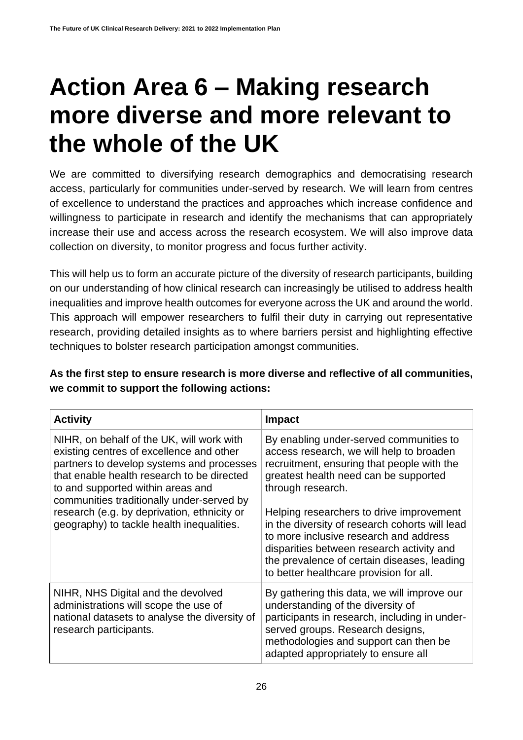### <span id="page-25-0"></span>**Action Area 6 – Making research more diverse and more relevant to the whole of the UK**

We are committed to diversifying research demographics and democratising research access, particularly for communities under-served by research. We will learn from centres of excellence to understand the practices and approaches which increase confidence and willingness to participate in research and identify the mechanisms that can appropriately increase their use and access across the research ecosystem. We will also improve data collection on diversity, to monitor progress and focus further activity.

This will help us to form an accurate picture of the diversity of research participants, building on our understanding of how clinical research can increasingly be utilised to address health inequalities and improve health outcomes for everyone across the UK and around the world. This approach will empower researchers to fulfil their duty in carrying out representative research, providing detailed insights as to where barriers persist and highlighting effective techniques to bolster research participation amongst communities.

**As the first step to ensure research is more diverse and reflective of all communities, we commit to support the following actions:**

| <b>Activity</b>                                                                                                                                                                                                                                                                                                                                                | <b>Impact</b>                                                                                                                                                                                                                                                                                                                                                                                                                                                                  |
|----------------------------------------------------------------------------------------------------------------------------------------------------------------------------------------------------------------------------------------------------------------------------------------------------------------------------------------------------------------|--------------------------------------------------------------------------------------------------------------------------------------------------------------------------------------------------------------------------------------------------------------------------------------------------------------------------------------------------------------------------------------------------------------------------------------------------------------------------------|
| NIHR, on behalf of the UK, will work with<br>existing centres of excellence and other<br>partners to develop systems and processes<br>that enable health research to be directed<br>to and supported within areas and<br>communities traditionally under-served by<br>research (e.g. by deprivation, ethnicity or<br>geography) to tackle health inequalities. | By enabling under-served communities to<br>access research, we will help to broaden<br>recruitment, ensuring that people with the<br>greatest health need can be supported<br>through research.<br>Helping researchers to drive improvement<br>in the diversity of research cohorts will lead<br>to more inclusive research and address<br>disparities between research activity and<br>the prevalence of certain diseases, leading<br>to better healthcare provision for all. |
| NIHR, NHS Digital and the devolved<br>administrations will scope the use of<br>national datasets to analyse the diversity of<br>research participants.                                                                                                                                                                                                         | By gathering this data, we will improve our<br>understanding of the diversity of<br>participants in research, including in under-<br>served groups. Research designs,<br>methodologies and support can then be<br>adapted appropriately to ensure all                                                                                                                                                                                                                          |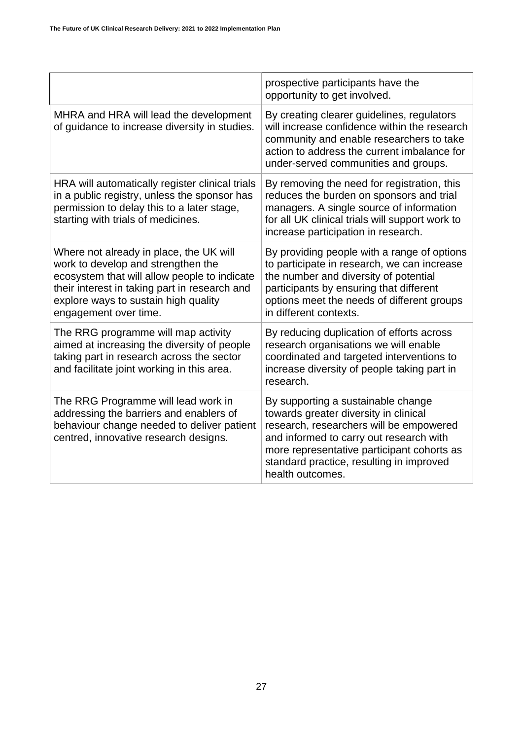|                                                                                                                                                                                                                                                 | prospective participants have the<br>opportunity to get involved.                                                                                                                                                                                                               |
|-------------------------------------------------------------------------------------------------------------------------------------------------------------------------------------------------------------------------------------------------|---------------------------------------------------------------------------------------------------------------------------------------------------------------------------------------------------------------------------------------------------------------------------------|
| MHRA and HRA will lead the development<br>of guidance to increase diversity in studies.                                                                                                                                                         | By creating clearer guidelines, regulators<br>will increase confidence within the research<br>community and enable researchers to take<br>action to address the current imbalance for<br>under-served communities and groups.                                                   |
| HRA will automatically register clinical trials<br>in a public registry, unless the sponsor has<br>permission to delay this to a later stage,<br>starting with trials of medicines.                                                             | By removing the need for registration, this<br>reduces the burden on sponsors and trial<br>managers. A single source of information<br>for all UK clinical trials will support work to<br>increase participation in research.                                                   |
| Where not already in place, the UK will<br>work to develop and strengthen the<br>ecosystem that will allow people to indicate<br>their interest in taking part in research and<br>explore ways to sustain high quality<br>engagement over time. | By providing people with a range of options<br>to participate in research, we can increase<br>the number and diversity of potential<br>participants by ensuring that different<br>options meet the needs of different groups<br>in different contexts.                          |
| The RRG programme will map activity<br>aimed at increasing the diversity of people<br>taking part in research across the sector<br>and facilitate joint working in this area.                                                                   | By reducing duplication of efforts across<br>research organisations we will enable<br>coordinated and targeted interventions to<br>increase diversity of people taking part in<br>research.                                                                                     |
| The RRG Programme will lead work in<br>addressing the barriers and enablers of<br>behaviour change needed to deliver patient<br>centred, innovative research designs.                                                                           | By supporting a sustainable change<br>towards greater diversity in clinical<br>research, researchers will be empowered<br>and informed to carry out research with<br>more representative participant cohorts as<br>standard practice, resulting in improved<br>health outcomes. |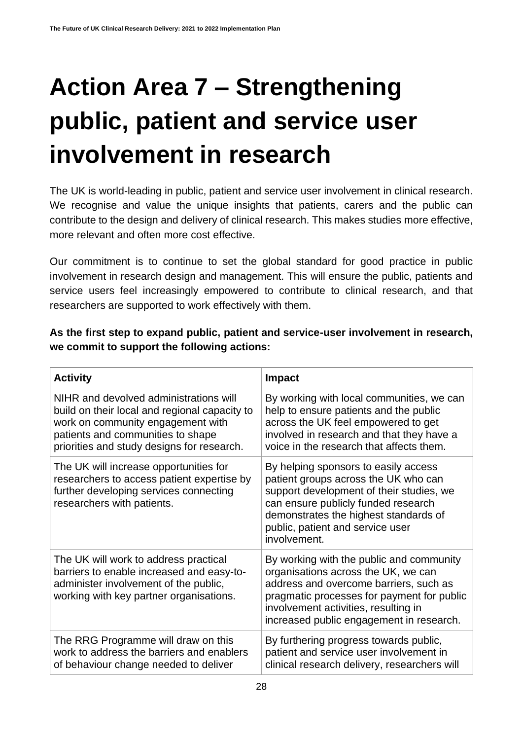# <span id="page-27-0"></span>**Action Area 7 – Strengthening public, patient and service user involvement in research**

The UK is world-leading in public, patient and service user involvement in clinical research. We recognise and value the unique insights that patients, carers and the public can contribute to the design and delivery of clinical research. This makes studies more effective, more relevant and often more cost effective.

Our commitment is to continue to set the global standard for good practice in public involvement in research design and management. This will ensure the public, patients and service users feel increasingly empowered to contribute to clinical research, and that researchers are supported to work effectively with them.

**As the first step to expand public, patient and service-user involvement in research, we commit to support the following actions:**

| <b>Activity</b>                                                                                                                                                                                                 | <b>Impact</b>                                                                                                                                                                                                                                                |
|-----------------------------------------------------------------------------------------------------------------------------------------------------------------------------------------------------------------|--------------------------------------------------------------------------------------------------------------------------------------------------------------------------------------------------------------------------------------------------------------|
| NIHR and devolved administrations will<br>build on their local and regional capacity to<br>work on community engagement with<br>patients and communities to shape<br>priorities and study designs for research. | By working with local communities, we can<br>help to ensure patients and the public<br>across the UK feel empowered to get<br>involved in research and that they have a<br>voice in the research that affects them.                                          |
| The UK will increase opportunities for<br>researchers to access patient expertise by<br>further developing services connecting<br>researchers with patients.                                                    | By helping sponsors to easily access<br>patient groups across the UK who can<br>support development of their studies, we<br>can ensure publicly funded research<br>demonstrates the highest standards of<br>public, patient and service user<br>involvement. |
| The UK will work to address practical<br>barriers to enable increased and easy-to-<br>administer involvement of the public,<br>working with key partner organisations.                                          | By working with the public and community<br>organisations across the UK, we can<br>address and overcome barriers, such as<br>pragmatic processes for payment for public<br>involvement activities, resulting in<br>increased public engagement in research.  |
| The RRG Programme will draw on this<br>work to address the barriers and enablers<br>of behaviour change needed to deliver                                                                                       | By furthering progress towards public,<br>patient and service user involvement in<br>clinical research delivery, researchers will                                                                                                                            |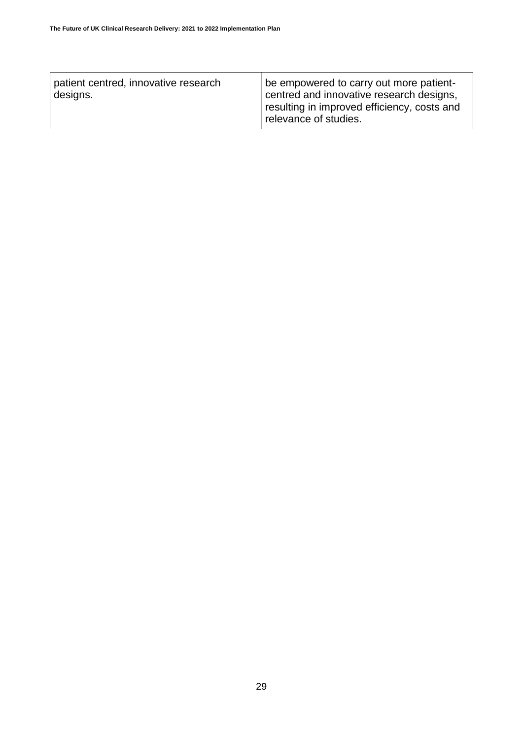| patient centred, innovative research<br>designs. | be empowered to carry out more patient-<br>centred and innovative research designs,<br>resulting in improved efficiency, costs and<br>relevance of studies. |
|--------------------------------------------------|-------------------------------------------------------------------------------------------------------------------------------------------------------------|
|                                                  |                                                                                                                                                             |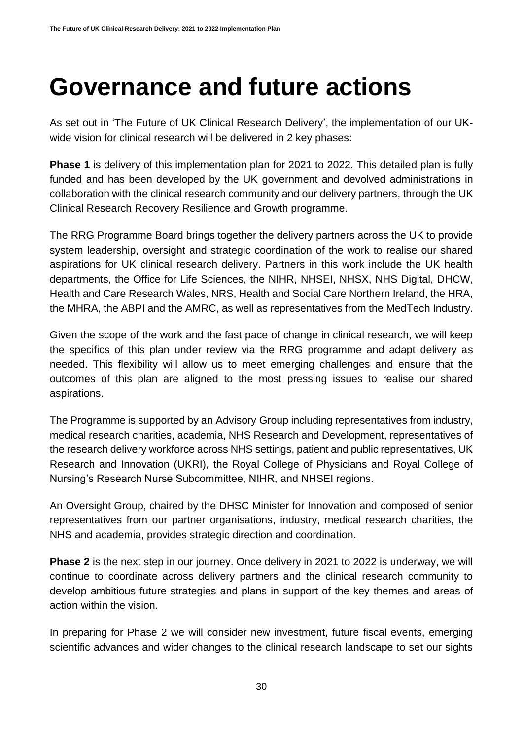#### <span id="page-29-0"></span>**Governance and future actions**

As set out in 'The Future of UK Clinical Research Delivery', the implementation of our UKwide vision for clinical research will be delivered in 2 key phases:

**Phase 1** is delivery of this implementation plan for 2021 to 2022. This detailed plan is fully funded and has been developed by the UK government and devolved administrations in collaboration with the clinical research community and our delivery partners, through the UK Clinical Research Recovery Resilience and Growth programme.

The RRG Programme Board brings together the delivery partners across the UK to provide system leadership, oversight and strategic coordination of the work to realise our shared aspirations for UK clinical research delivery. Partners in this work include the UK health departments, the Office for Life Sciences, the NIHR, NHSEI, NHSX, NHS Digital, DHCW, Health and Care Research Wales, NRS, Health and Social Care Northern Ireland, the HRA, the MHRA, the ABPI and the AMRC, as well as representatives from the MedTech Industry.

Given the scope of the work and the fast pace of change in clinical research, we will keep the specifics of this plan under review via the RRG programme and adapt delivery as needed. This flexibility will allow us to meet emerging challenges and ensure that the outcomes of this plan are aligned to the most pressing issues to realise our shared aspirations.

The Programme is supported by an Advisory Group including representatives from industry, medical research charities, academia, NHS Research and Development, representatives of the research delivery workforce across NHS settings, patient and public representatives, UK Research and Innovation (UKRI), the Royal College of Physicians and Royal College of Nursing's Research Nurse Subcommittee, NIHR, and NHSEI regions.

An Oversight Group, chaired by the DHSC Minister for Innovation and composed of senior representatives from our partner organisations, industry, medical research charities, the NHS and academia, provides strategic direction and coordination.

**Phase 2** is the next step in our journey. Once delivery in 2021 to 2022 is underway, we will continue to coordinate across delivery partners and the clinical research community to develop ambitious future strategies and plans in support of the key themes and areas of action within the vision.

In preparing for Phase 2 we will consider new investment, future fiscal events, emerging scientific advances and wider changes to the clinical research landscape to set our sights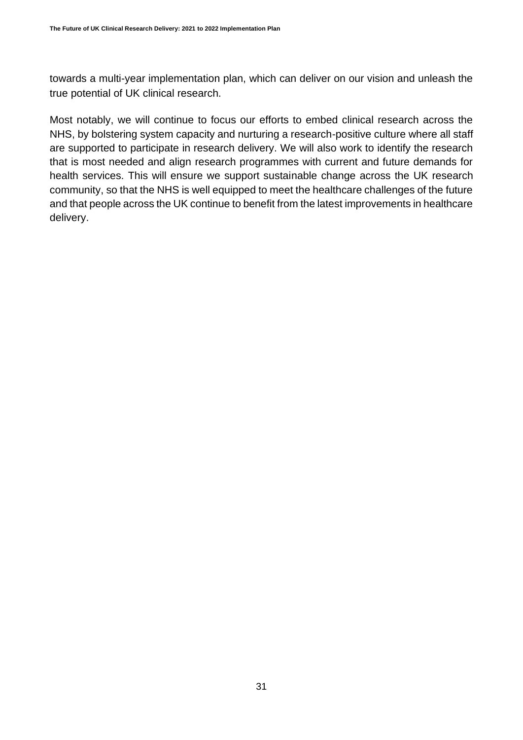towards a multi-year implementation plan, which can deliver on our vision and unleash the true potential of UK clinical research.

Most notably, we will continue to focus our efforts to embed clinical research across the NHS, by bolstering system capacity and nurturing a research-positive culture where all staff are supported to participate in research delivery. We will also work to identify the research that is most needed and align research programmes with current and future demands for health services. This will ensure we support sustainable change across the UK research community, so that the NHS is well equipped to meet the healthcare challenges of the future and that people across the UK continue to benefit from the latest improvements in healthcare delivery.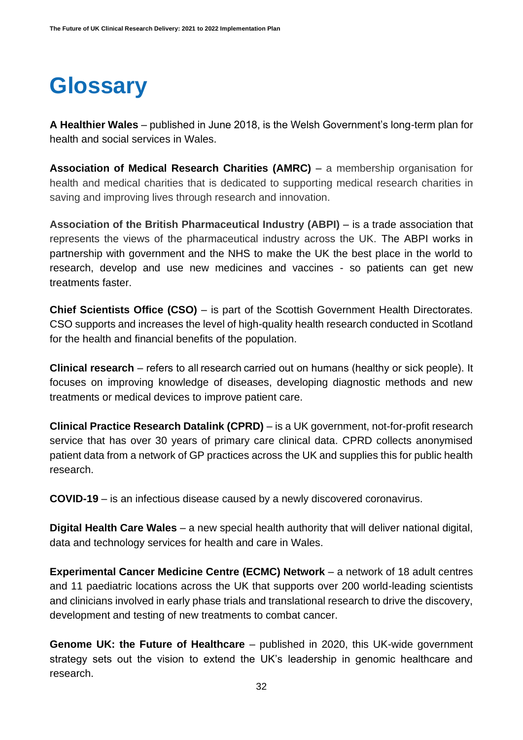#### **Glossary**

**A Healthier Wales** – published in June 2018, is the Welsh Government's long-term plan for health and social services in Wales.

**Association of Medical Research Charities (AMRC)** – a membership organisation for health and medical charities that is dedicated to supporting medical research charities in saving and improving lives through research and innovation.

**Association of the British Pharmaceutical Industry (ABPI)** – is a trade association that represents the views of the pharmaceutical industry across the UK. The ABPI works in partnership with government and the NHS to make the UK the best place in the world to research, develop and use new medicines and vaccines - so patients can get new treatments faster.

**Chief Scientists Office (CSO)** – is part of the Scottish Government Health Directorates. CSO supports and increases the level of high-quality health research conducted in Scotland for the health and financial benefits of the population.

**Clinical research** – refers to all research carried out on humans (healthy or sick people). It focuses on improving knowledge of diseases, developing diagnostic methods and new treatments or medical devices to improve patient care.

**Clinical Practice Research Datalink (CPRD)** – is a UK government, not-for-profit research service that has over 30 years of primary care clinical data. CPRD collects anonymised patient data from a network of GP practices across the UK and supplies this for public health research.

**COVID-19** – is an infectious disease caused by a newly discovered coronavirus.

**Digital Health Care Wales** – a new special health authority that will deliver national digital, data and technology services for health and care in Wales.

**Experimental Cancer Medicine Centre (ECMC) Network** – a network of 18 adult centres and 11 paediatric locations across the UK that supports over 200 world-leading scientists and clinicians involved in early phase trials and translational research to drive the discovery, development and testing of new treatments to combat cancer.

**Genome UK: the Future of Healthcare** – published in 2020, this UK-wide government strategy sets out the vision to extend the UK's leadership in genomic healthcare and research.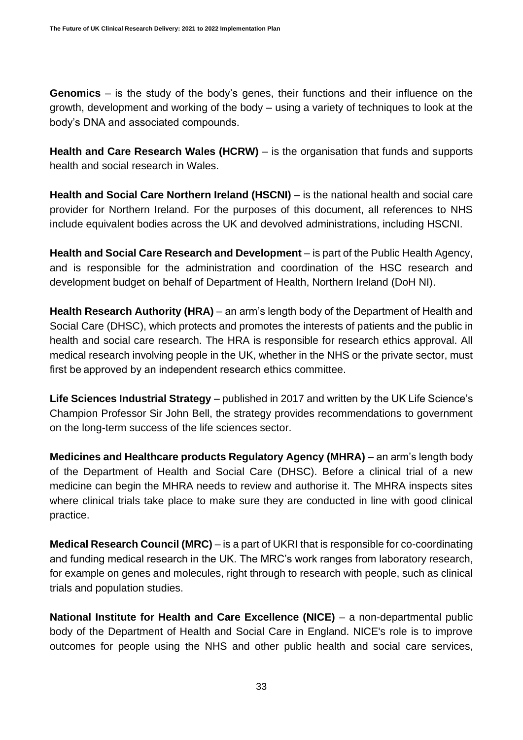**Genomics** – is the study of the body's genes, their functions and their influence on the growth, development and working of the body – using a variety of techniques to look at the body's DNA and associated compounds.

**Health and Care Research Wales (HCRW)** – is the organisation that funds and supports health and social research in Wales.

**Health and Social Care Northern Ireland (HSCNI)** – is the national health and social care provider for Northern Ireland. For the purposes of this document, all references to NHS include equivalent bodies across the UK and devolved administrations, including HSCNI.

**Health and Social Care Research and Development** – is part of the Public Health Agency, and is responsible for the administration and coordination of the HSC research and development budget on behalf o[f](https://www.health-ni.gov.uk/) Department of Health, Northern Ireland (DoH NI).

**Health Research Authority (HRA)** – an arm's length body of the Department of Health and Social Care (DHSC), which protects and promotes the interests of patients and the public in health and social care research. The HRA is responsible for research ethics approval. All medical research involving people in the UK, whether in the NHS or the private sector, must first be approved by an independent research ethics committee.

**Life Sciences Industrial Strategy** – published in 2017 and written by the UK Life Science's Champion Professor Sir John Bell, the strategy provides recommendations to government on the long-term success of the life sciences sector.

**Medicines and Healthcare products Regulatory Agency (MHRA)** – an arm's length body of the Department of Health and Social Care (DHSC). Before a clinical trial of a new medicine can begin the MHRA needs to review and authorise it. The MHRA inspects sites where clinical trials take place to make sure they are conducted in line with good clinical practice.

**Medical Research Council (MRC)** – is a part of UKRI that is responsible for co-coordinating and funding medical research in the UK. The MRC's work ranges from laboratory research, for example on genes and molecules, right through to research with people, such as clinical trials and population studies.

**National Institute for Health and Care Excellence (NICE)** – a non-departmental public body of the Department of Health and Social Care in England. NICE's role is to improve outcomes for people using the NHS and other public health and social care services,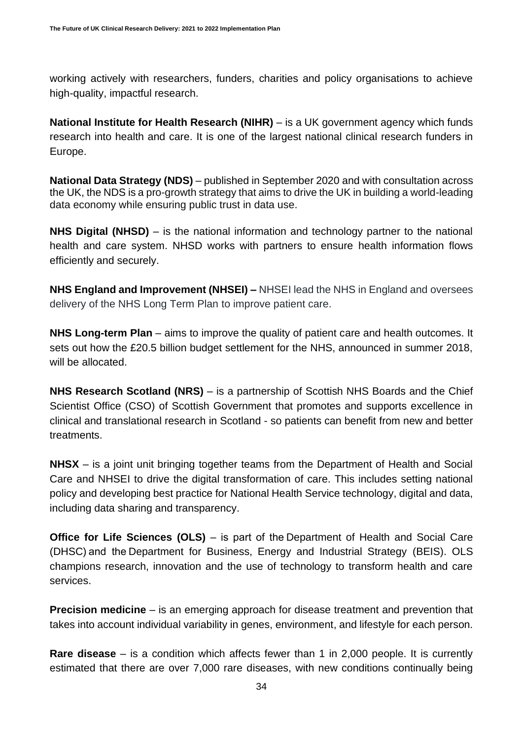working actively with researchers, funders, charities and policy organisations to achieve high-quality, impactful research.

**National Institute for Health Research (NIHR)** – is a UK government agency which funds research into health and care. It is one of the largest national clinical research funders in Europe.

**[National Data Strategy](https://eur02.safelinks.protection.outlook.com/?url=https%3A%2F%2Fwww.gov.uk%2Fgovernment%2Fpublications%2Fuk-national-data-strategy&data=04%7C01%7CTom.Bentley%40officeforlifesciences.gov.uk%7C8d866a72358d4e5e664008d921b89ed4%7Ccbac700502c143ebb497e6492d1b2dd8%7C0%7C0%7C637577899092935367%7CUnknown%7CTWFpbGZsb3d8eyJWIjoiMC4wLjAwMDAiLCJQIjoiV2luMzIiLCJBTiI6Ik1haWwiLCJXVCI6Mn0%3D%7C1000&sdata=QG6IjsWeV7MEs2ko5%2BI9fUmOEX%2FgZGc2mV9gMkclO1w%3D&reserved=0) [\(NDS\)](https://eur02.safelinks.protection.outlook.com/?url=https%3A%2F%2Fwww.gov.uk%2Fgovernment%2Fpublications%2Fuk-national-data-strategy&data=04%7C01%7CTom.Bentley%40officeforlifesciences.gov.uk%7C8d866a72358d4e5e664008d921b89ed4%7Ccbac700502c143ebb497e6492d1b2dd8%7C0%7C0%7C637577899092935367%7CUnknown%7CTWFpbGZsb3d8eyJWIjoiMC4wLjAwMDAiLCJQIjoiV2luMzIiLCJBTiI6Ik1haWwiLCJXVCI6Mn0%3D%7C1000&sdata=QG6IjsWeV7MEs2ko5%2BI9fUmOEX%2FgZGc2mV9gMkclO1w%3D&reserved=0)** – published in September 2020 and with consultation across the UK, the NDS is a pro-growth strategy that aims to drive the UK in building a world-leading data economy while ensuring public trust in data use.

**NHS Digital (NHSD)** – is the national information and technology partner to the national health and care system. NHSD works with partners to ensure health information flows efficiently and securely.

**NHS England and Improvement (NHSEI) –** NHSEI lead the NHS in England and oversees delivery of the NHS Long Term Plan to improve patient care.

**NHS Long-term Plan** – aims to improve the quality of patient care and health outcomes. It sets out how the £20.5 billion budget settlement for the NHS, announced in summer 2018, will be allocated.

**NHS Research Scotland (NRS)** – is a partnership of [Scottish NHS Boards](http://www.nhsresearchscotland.org.uk/research-in-scotland/nodes) and the Chief [Scientist Office \(CSO\)](http://www.cso.scot.nhs.uk/) of Scottish Government that promotes and supports excellence in clinical and translational research in Scotland - so patients can benefit from new and better treatments.

**NHSX** – is a joint unit bringing together teams from the Department of Health and Social Care and NHSEI to drive the digital transformation of care. This includes setting national policy and developing best practice for National Health Service technology, digital and data, including data sharing and transparency.

**Office for Life Sciences (OLS)** – is part of the Department of Health and Social Care (DHSC) and the[Department for Business, Energy and Industrial Strategy](https://www.gov.uk/government/organisations/department-for-business-energy-and-industrial-strategy) (BEIS). OLS champions research, innovation and the use of technology to transform health and care services.

**Precision medicine** – is an emerging approach for disease treatment and prevention that takes into account individual variability in genes, environment, and lifestyle for each person.

**Rare disease** – is a condition which affects fewer than 1 in 2,000 people. It is currently estimated that there are over 7,000 rare diseases, with new conditions continually being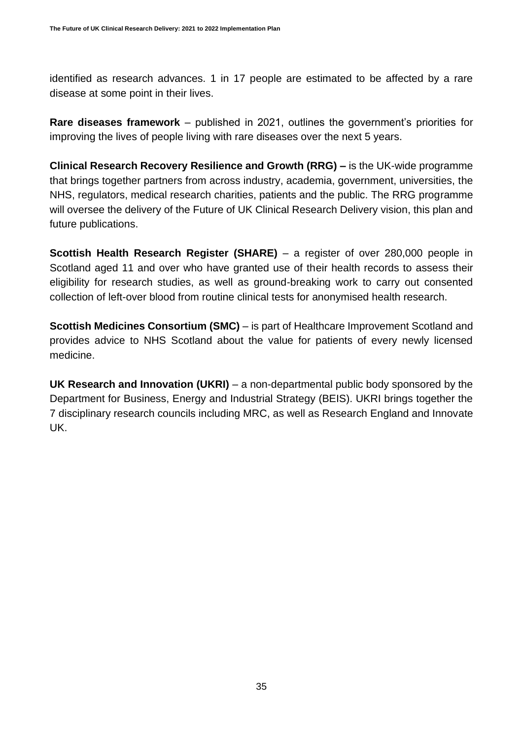identified as research advances. 1 in 17 people are estimated to be affected by a rare disease at some point in their lives.

**Rare diseases framework** – published in 2021, outlines the government's priorities for improving the lives of people living with rare diseases over the next 5 years.

**Clinical Research Recovery Resilience and Growth (RRG) –** is the UK-wide programme that brings together partners from across industry, academia, government, universities, the NHS, regulators, medical research charities, patients and the public. The RRG programme will oversee the delivery of the Future of UK Clinical Research Delivery vision, this plan and future publications.

**Scottish Health Research Register (SHARE)** – a register of over 280,000 people in Scotland aged 11 and over who have granted use of their health records to assess their eligibility for research studies, as well as ground-breaking work to carry out consented collection of left-over blood from routine clinical tests for anonymised health research.

**Scottish Medicines Consortium (SMC)** – is part of Healthcare Improvement Scotland and provides advice to NHS Scotland about the value for patients of every newly licensed medicine.

**UK Research and Innovation (UKRI)** – a non-departmental public body sponsored by the Department for Business, Energy and Industrial Strategy (BEIS). UKRI brings together the 7 disciplinary research councils including MRC, as well as Research England and Innovate UK.